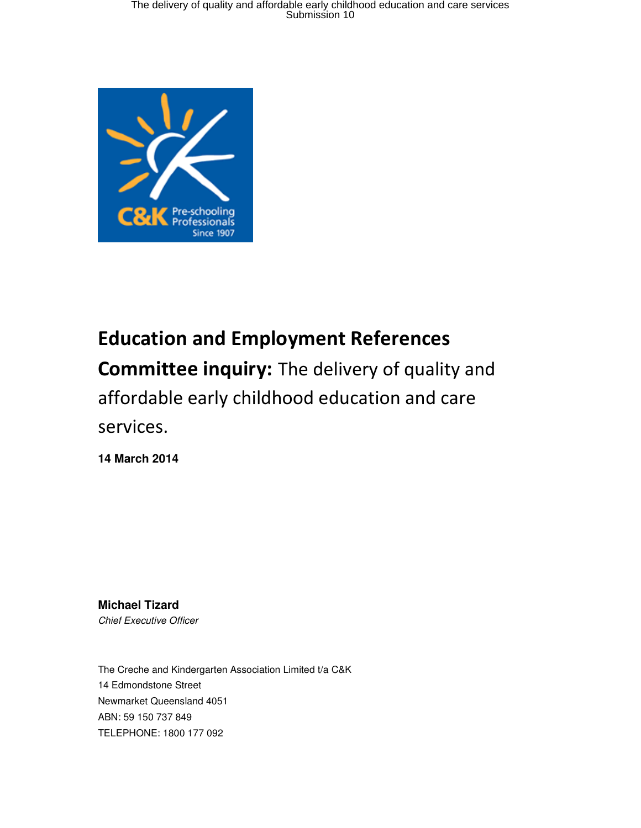

# Education and Employment References Committee inquiry: The delivery of quality and affordable early childhood education and care services.

**14 March 2014** 

**Michael Tizard**  Chief Executive Officer

The Creche and Kindergarten Association Limited t/a C&K 14 Edmondstone Street Newmarket Queensland 4051 ABN: 59 150 737 849 TELEPHONE: 1800 177 092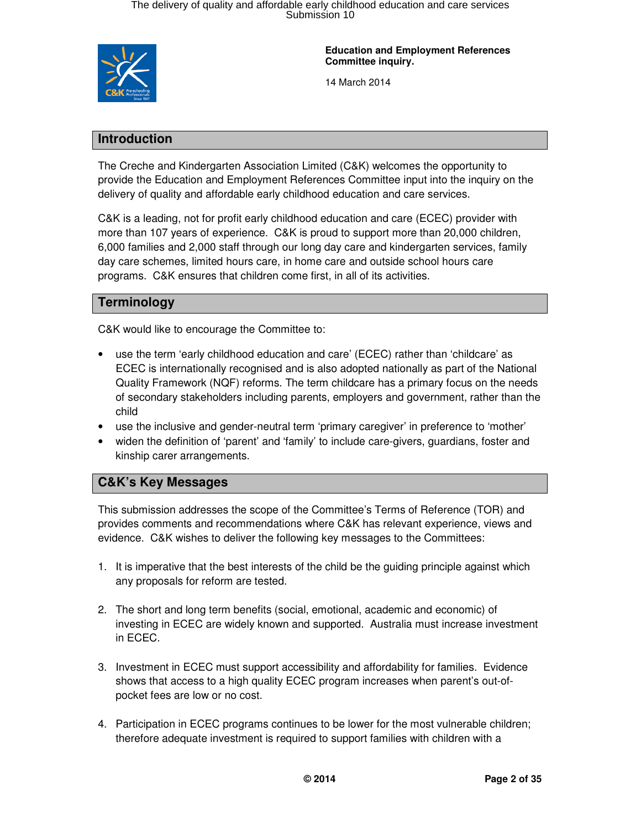

**Education and Employment References Committee inquiry.** 

14 March 2014

### **Introduction**

The Creche and Kindergarten Association Limited (C&K) welcomes the opportunity to provide the Education and Employment References Committee input into the inquiry on the delivery of quality and affordable early childhood education and care services.

C&K is a leading, not for profit early childhood education and care (ECEC) provider with more than 107 years of experience. C&K is proud to support more than 20,000 children, 6,000 families and 2,000 staff through our long day care and kindergarten services, family day care schemes, limited hours care, in home care and outside school hours care programs. C&K ensures that children come first, in all of its activities.

### **Terminology**

C&K would like to encourage the Committee to:

- use the term 'early childhood education and care' (ECEC) rather than 'childcare' as ECEC is internationally recognised and is also adopted nationally as part of the National Quality Framework (NQF) reforms. The term childcare has a primary focus on the needs of secondary stakeholders including parents, employers and government, rather than the child
- use the inclusive and gender-neutral term 'primary caregiver' in preference to 'mother'
- widen the definition of 'parent' and 'family' to include care-givers, guardians, foster and kinship carer arrangements.

### **C&K's Key Messages**

This submission addresses the scope of the Committee's Terms of Reference (TOR) and provides comments and recommendations where C&K has relevant experience, views and evidence. C&K wishes to deliver the following key messages to the Committees:

- 1. It is imperative that the best interests of the child be the guiding principle against which any proposals for reform are tested.
- 2. The short and long term benefits (social, emotional, academic and economic) of investing in ECEC are widely known and supported. Australia must increase investment in ECEC.
- 3. Investment in ECEC must support accessibility and affordability for families. Evidence shows that access to a high quality ECEC program increases when parent's out-ofpocket fees are low or no cost.
- 4. Participation in ECEC programs continues to be lower for the most vulnerable children; therefore adequate investment is required to support families with children with a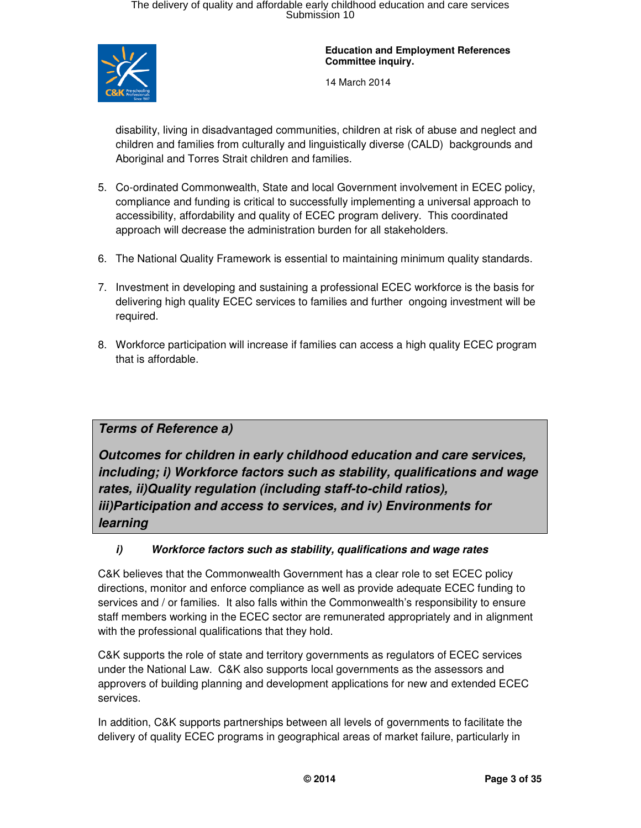

14 March 2014

disability, living in disadvantaged communities, children at risk of abuse and neglect and children and families from culturally and linguistically diverse (CALD) backgrounds and Aboriginal and Torres Strait children and families.

- 5. Co-ordinated Commonwealth, State and local Government involvement in ECEC policy, compliance and funding is critical to successfully implementing a universal approach to accessibility, affordability and quality of ECEC program delivery. This coordinated approach will decrease the administration burden for all stakeholders.
- 6. The National Quality Framework is essential to maintaining minimum quality standards.
- 7. Investment in developing and sustaining a professional ECEC workforce is the basis for delivering high quality ECEC services to families and further ongoing investment will be required.
- 8. Workforce participation will increase if families can access a high quality ECEC program that is affordable.

### **Terms of Reference a)**

**Outcomes for children in early childhood education and care services, including; i) Workforce factors such as stability, qualifications and wage rates, ii)Quality regulation (including staff-to-child ratios), iii)Participation and access to services, and iv) Environments for learning** 

### **i) Workforce factors such as stability, qualifications and wage rates**

C&K believes that the Commonwealth Government has a clear role to set ECEC policy directions, monitor and enforce compliance as well as provide adequate ECEC funding to services and / or families. It also falls within the Commonwealth's responsibility to ensure staff members working in the ECEC sector are remunerated appropriately and in alignment with the professional qualifications that they hold.

C&K supports the role of state and territory governments as regulators of ECEC services under the National Law. C&K also supports local governments as the assessors and approvers of building planning and development applications for new and extended ECEC services.

In addition, C&K supports partnerships between all levels of governments to facilitate the delivery of quality ECEC programs in geographical areas of market failure, particularly in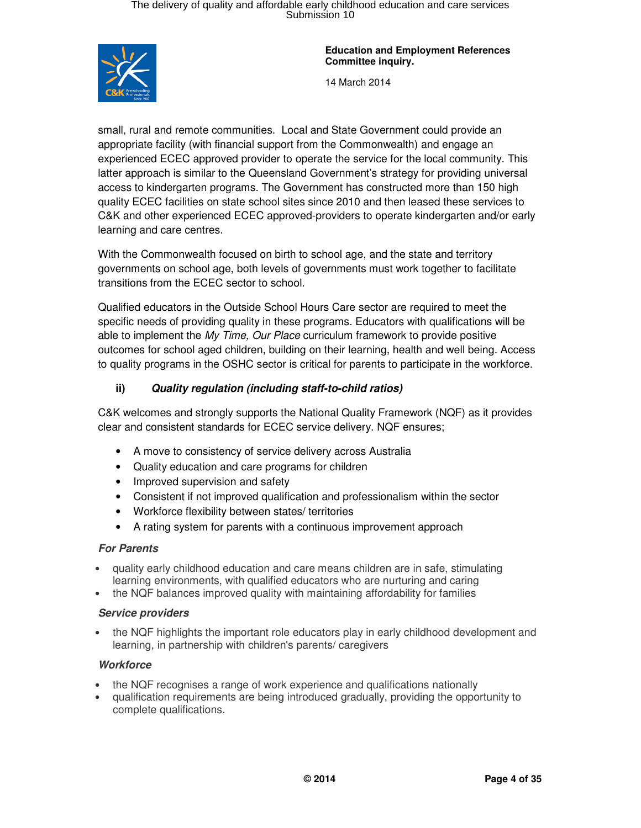

14 March 2014

small, rural and remote communities. Local and State Government could provide an appropriate facility (with financial support from the Commonwealth) and engage an experienced ECEC approved provider to operate the service for the local community. This latter approach is similar to the Queensland Government's strategy for providing universal access to kindergarten programs. The Government has constructed more than 150 high quality ECEC facilities on state school sites since 2010 and then leased these services to C&K and other experienced ECEC approved-providers to operate kindergarten and/or early learning and care centres.

With the Commonwealth focused on birth to school age, and the state and territory governments on school age, both levels of governments must work together to facilitate transitions from the ECEC sector to school.

Qualified educators in the Outside School Hours Care sector are required to meet the specific needs of providing quality in these programs. Educators with qualifications will be able to implement the My Time, Our Place curriculum framework to provide positive outcomes for school aged children, building on their learning, health and well being. Access to quality programs in the OSHC sector is critical for parents to participate in the workforce.

### **ii) Quality regulation (including staff-to-child ratios)**

C&K welcomes and strongly supports the National Quality Framework (NQF) as it provides clear and consistent standards for ECEC service delivery. NQF ensures;

- A move to consistency of service delivery across Australia
- Quality education and care programs for children
- Improved supervision and safety
- Consistent if not improved qualification and professionalism within the sector
- Workforce flexibility between states/ territories
- A rating system for parents with a continuous improvement approach

#### **For Parents**

- quality early childhood education and care means children are in safe, stimulating learning environments, with qualified educators who are nurturing and caring
- the NQF balances improved quality with maintaining affordability for families

#### **Service providers**

• the NQF highlights the important role educators play in early childhood development and learning, in partnership with children's parents/ caregivers

#### **Workforce**

- the NQF recognises a range of work experience and qualifications nationally
- qualification requirements are being introduced gradually, providing the opportunity to complete qualifications.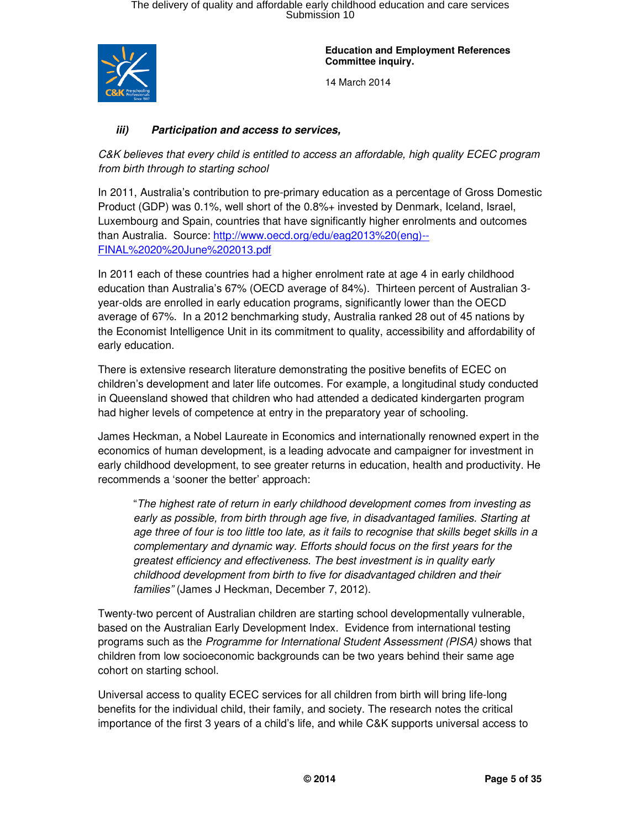

14 March 2014

### **iii) Participation and access to services,**

C&K believes that every child is entitled to access an affordable, high quality ECEC program from birth through to starting school

In 2011, Australia's contribution to pre-primary education as a percentage of Gross Domestic Product (GDP) was 0.1%, well short of the 0.8%+ invested by Denmark, Iceland, Israel, Luxembourg and Spain, countries that have significantly higher enrolments and outcomes than Australia. Source: http://www.oecd.org/edu/eag2013%20(eng)-- FINAL%2020%20June%202013.pdf

In 2011 each of these countries had a higher enrolment rate at age 4 in early childhood education than Australia's 67% (OECD average of 84%). Thirteen percent of Australian 3 year-olds are enrolled in early education programs, significantly lower than the OECD average of 67%. In a 2012 benchmarking study, Australia ranked 28 out of 45 nations by the Economist Intelligence Unit in its commitment to quality, accessibility and affordability of early education.

There is extensive research literature demonstrating the positive benefits of ECEC on children's development and later life outcomes. For example, a longitudinal study conducted in Queensland showed that children who had attended a dedicated kindergarten program had higher levels of competence at entry in the preparatory year of schooling.

James Heckman, a Nobel Laureate in Economics and internationally renowned expert in the economics of human development, is a leading advocate and campaigner for investment in early childhood development, to see greater returns in education, health and productivity. He recommends a 'sooner the better' approach:

"The highest rate of return in early childhood development comes from investing as early as possible, from birth through age five, in disadvantaged families. Starting at age three of four is too little too late, as it fails to recognise that skills beget skills in a complementary and dynamic way. Efforts should focus on the first years for the greatest efficiency and effectiveness. The best investment is in quality early childhood development from birth to five for disadvantaged children and their families" (James J Heckman, December 7, 2012).

Twenty-two percent of Australian children are starting school developmentally vulnerable, based on the Australian Early Development Index. Evidence from international testing programs such as the Programme for International Student Assessment (PISA) shows that children from low socioeconomic backgrounds can be two years behind their same age cohort on starting school.

Universal access to quality ECEC services for all children from birth will bring life-long benefits for the individual child, their family, and society. The research notes the critical importance of the first 3 years of a child's life, and while C&K supports universal access to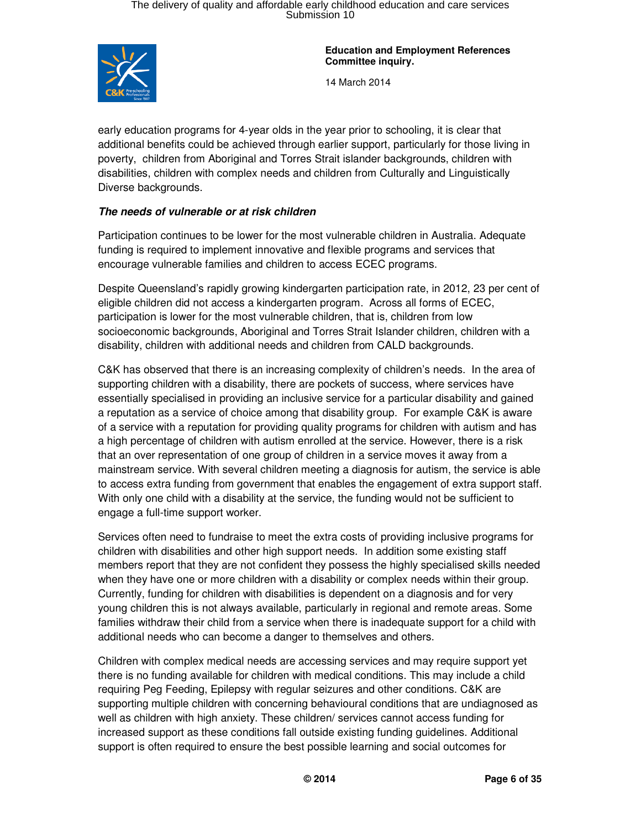

**Education and Employment References Committee inquiry.** 

14 March 2014

early education programs for 4-year olds in the year prior to schooling, it is clear that additional benefits could be achieved through earlier support, particularly for those living in poverty, children from Aboriginal and Torres Strait islander backgrounds, children with disabilities, children with complex needs and children from Culturally and Linguistically Diverse backgrounds.

### **The needs of vulnerable or at risk children**

Participation continues to be lower for the most vulnerable children in Australia. Adequate funding is required to implement innovative and flexible programs and services that encourage vulnerable families and children to access ECEC programs.

Despite Queensland's rapidly growing kindergarten participation rate, in 2012, 23 per cent of eligible children did not access a kindergarten program. Across all forms of ECEC, participation is lower for the most vulnerable children, that is, children from low socioeconomic backgrounds, Aboriginal and Torres Strait Islander children, children with a disability, children with additional needs and children from CALD backgrounds.

C&K has observed that there is an increasing complexity of children's needs. In the area of supporting children with a disability, there are pockets of success, where services have essentially specialised in providing an inclusive service for a particular disability and gained a reputation as a service of choice among that disability group. For example C&K is aware of a service with a reputation for providing quality programs for children with autism and has a high percentage of children with autism enrolled at the service. However, there is a risk that an over representation of one group of children in a service moves it away from a mainstream service. With several children meeting a diagnosis for autism, the service is able to access extra funding from government that enables the engagement of extra support staff. With only one child with a disability at the service, the funding would not be sufficient to engage a full-time support worker.

Services often need to fundraise to meet the extra costs of providing inclusive programs for children with disabilities and other high support needs. In addition some existing staff members report that they are not confident they possess the highly specialised skills needed when they have one or more children with a disability or complex needs within their group. Currently, funding for children with disabilities is dependent on a diagnosis and for very young children this is not always available, particularly in regional and remote areas. Some families withdraw their child from a service when there is inadequate support for a child with additional needs who can become a danger to themselves and others.

Children with complex medical needs are accessing services and may require support yet there is no funding available for children with medical conditions. This may include a child requiring Peg Feeding, Epilepsy with regular seizures and other conditions. C&K are supporting multiple children with concerning behavioural conditions that are undiagnosed as well as children with high anxiety. These children/ services cannot access funding for increased support as these conditions fall outside existing funding guidelines. Additional support is often required to ensure the best possible learning and social outcomes for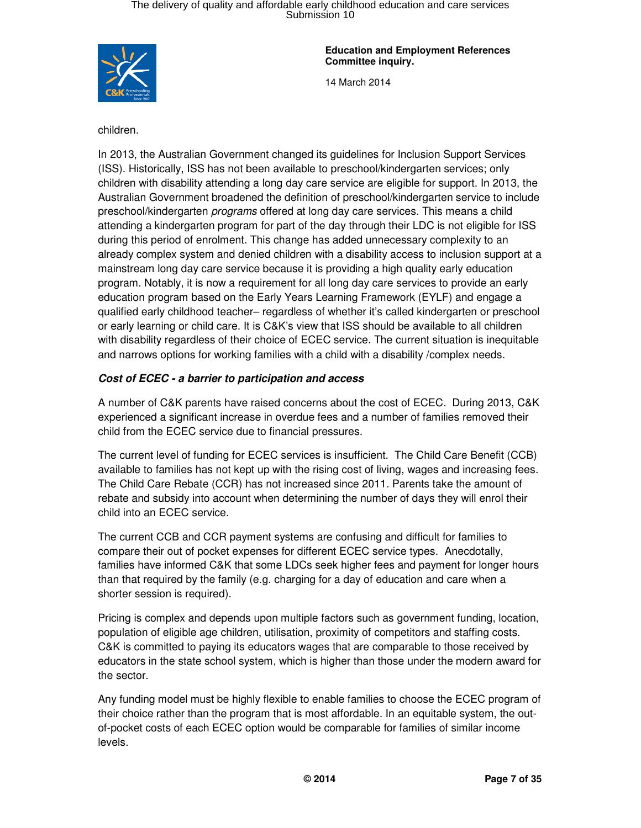

14 March 2014

children.

In 2013, the Australian Government changed its guidelines for Inclusion Support Services (ISS). Historically, ISS has not been available to preschool/kindergarten services; only children with disability attending a long day care service are eligible for support. In 2013, the Australian Government broadened the definition of preschool/kindergarten service to include preschool/kindergarten programs offered at long day care services. This means a child attending a kindergarten program for part of the day through their LDC is not eligible for ISS during this period of enrolment. This change has added unnecessary complexity to an already complex system and denied children with a disability access to inclusion support at a mainstream long day care service because it is providing a high quality early education program. Notably, it is now a requirement for all long day care services to provide an early education program based on the Early Years Learning Framework (EYLF) and engage a qualified early childhood teacher– regardless of whether it's called kindergarten or preschool or early learning or child care. It is C&K's view that ISS should be available to all children with disability regardless of their choice of ECEC service. The current situation is inequitable and narrows options for working families with a child with a disability /complex needs.

### **Cost of ECEC - a barrier to participation and access**

A number of C&K parents have raised concerns about the cost of ECEC. During 2013, C&K experienced a significant increase in overdue fees and a number of families removed their child from the ECEC service due to financial pressures.

The current level of funding for ECEC services is insufficient. The Child Care Benefit (CCB) available to families has not kept up with the rising cost of living, wages and increasing fees. The Child Care Rebate (CCR) has not increased since 2011. Parents take the amount of rebate and subsidy into account when determining the number of days they will enrol their child into an ECEC service.

The current CCB and CCR payment systems are confusing and difficult for families to compare their out of pocket expenses for different ECEC service types. Anecdotally, families have informed C&K that some LDCs seek higher fees and payment for longer hours than that required by the family (e.g. charging for a day of education and care when a shorter session is required).

Pricing is complex and depends upon multiple factors such as government funding, location, population of eligible age children, utilisation, proximity of competitors and staffing costs. C&K is committed to paying its educators wages that are comparable to those received by educators in the state school system, which is higher than those under the modern award for the sector.

Any funding model must be highly flexible to enable families to choose the ECEC program of their choice rather than the program that is most affordable. In an equitable system, the outof-pocket costs of each ECEC option would be comparable for families of similar income levels.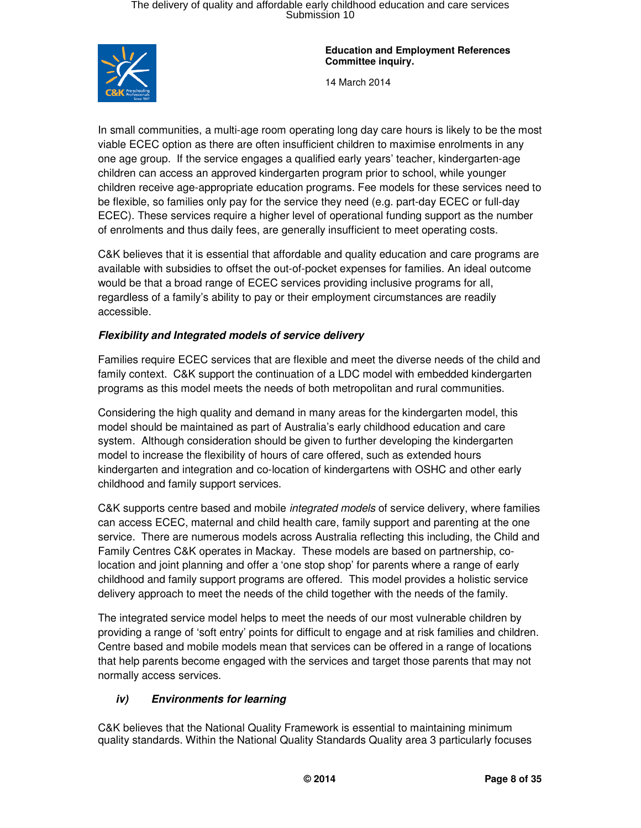

14 March 2014

In small communities, a multi-age room operating long day care hours is likely to be the most viable ECEC option as there are often insufficient children to maximise enrolments in any one age group. If the service engages a qualified early years' teacher, kindergarten-age children can access an approved kindergarten program prior to school, while younger children receive age-appropriate education programs. Fee models for these services need to be flexible, so families only pay for the service they need (e.g. part-day ECEC or full-day ECEC). These services require a higher level of operational funding support as the number of enrolments and thus daily fees, are generally insufficient to meet operating costs.

C&K believes that it is essential that affordable and quality education and care programs are available with subsidies to offset the out-of-pocket expenses for families. An ideal outcome would be that a broad range of ECEC services providing inclusive programs for all, regardless of a family's ability to pay or their employment circumstances are readily accessible.

### **Flexibility and Integrated models of service delivery**

Families require ECEC services that are flexible and meet the diverse needs of the child and family context. C&K support the continuation of a LDC model with embedded kindergarten programs as this model meets the needs of both metropolitan and rural communities.

Considering the high quality and demand in many areas for the kindergarten model, this model should be maintained as part of Australia's early childhood education and care system. Although consideration should be given to further developing the kindergarten model to increase the flexibility of hours of care offered, such as extended hours kindergarten and integration and co-location of kindergartens with OSHC and other early childhood and family support services.

C&K supports centre based and mobile integrated models of service delivery, where families can access ECEC, maternal and child health care, family support and parenting at the one service. There are numerous models across Australia reflecting this including, the Child and Family Centres C&K operates in Mackay. These models are based on partnership, colocation and joint planning and offer a 'one stop shop' for parents where a range of early childhood and family support programs are offered. This model provides a holistic service delivery approach to meet the needs of the child together with the needs of the family.

The integrated service model helps to meet the needs of our most vulnerable children by providing a range of 'soft entry' points for difficult to engage and at risk families and children. Centre based and mobile models mean that services can be offered in a range of locations that help parents become engaged with the services and target those parents that may not normally access services.

### **iv) Environments for learning**

C&K believes that the National Quality Framework is essential to maintaining minimum quality standards. Within the National Quality Standards Quality area 3 particularly focuses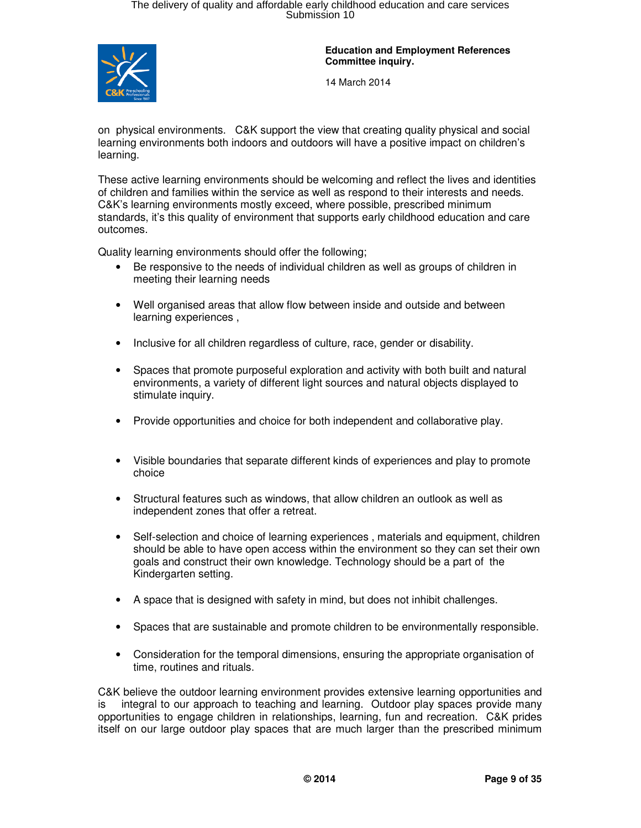

14 March 2014

on physical environments. C&K support the view that creating quality physical and social learning environments both indoors and outdoors will have a positive impact on children's learning.

These active learning environments should be welcoming and reflect the lives and identities of children and families within the service as well as respond to their interests and needs. C&K's learning environments mostly exceed, where possible, prescribed minimum standards, it's this quality of environment that supports early childhood education and care outcomes.

Quality learning environments should offer the following;

- Be responsive to the needs of individual children as well as groups of children in meeting their learning needs
- Well organised areas that allow flow between inside and outside and between learning experiences ,
- Inclusive for all children regardless of culture, race, gender or disability.
- Spaces that promote purposeful exploration and activity with both built and natural environments, a variety of different light sources and natural objects displayed to stimulate inquiry.
- Provide opportunities and choice for both independent and collaborative play.
- Visible boundaries that separate different kinds of experiences and play to promote choice
- Structural features such as windows, that allow children an outlook as well as independent zones that offer a retreat.
- Self-selection and choice of learning experiences, materials and equipment, children should be able to have open access within the environment so they can set their own goals and construct their own knowledge. Technology should be a part of the Kindergarten setting.
- A space that is designed with safety in mind, but does not inhibit challenges.
- Spaces that are sustainable and promote children to be environmentally responsible.
- Consideration for the temporal dimensions, ensuring the appropriate organisation of time, routines and rituals.

C&K believe the outdoor learning environment provides extensive learning opportunities and is integral to our approach to teaching and learning. Outdoor play spaces provide many opportunities to engage children in relationships, learning, fun and recreation. C&K prides itself on our large outdoor play spaces that are much larger than the prescribed minimum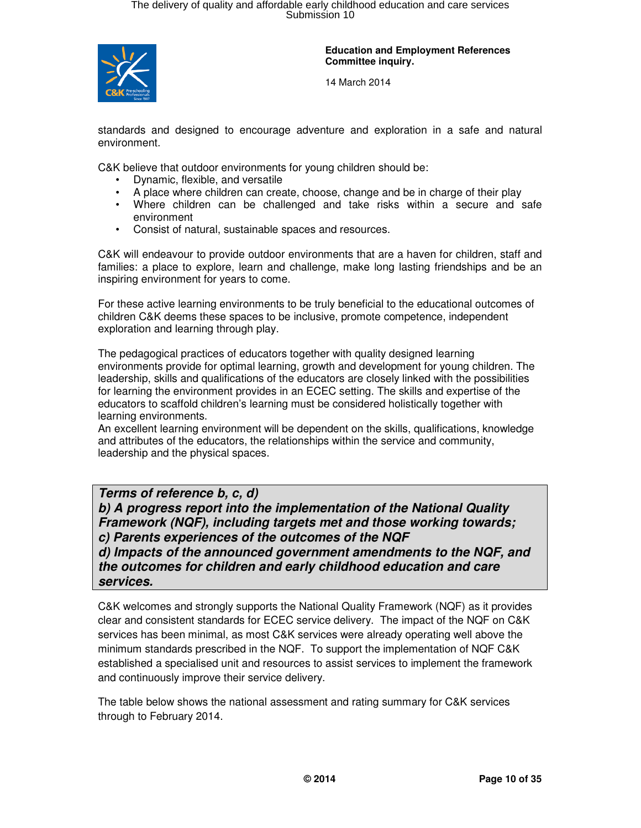

14 March 2014

standards and designed to encourage adventure and exploration in a safe and natural environment.

C&K believe that outdoor environments for young children should be:

- Dynamic, flexible, and versatile
- A place where children can create, choose, change and be in charge of their play
- Where children can be challenged and take risks within a secure and safe environment
- Consist of natural, sustainable spaces and resources.

C&K will endeavour to provide outdoor environments that are a haven for children, staff and families: a place to explore, learn and challenge, make long lasting friendships and be an inspiring environment for years to come.

For these active learning environments to be truly beneficial to the educational outcomes of children C&K deems these spaces to be inclusive, promote competence, independent exploration and learning through play.

The pedagogical practices of educators together with quality designed learning environments provide for optimal learning, growth and development for young children. The leadership, skills and qualifications of the educators are closely linked with the possibilities for learning the environment provides in an ECEC setting. The skills and expertise of the educators to scaffold children's learning must be considered holistically together with learning environments.

An excellent learning environment will be dependent on the skills, qualifications, knowledge and attributes of the educators, the relationships within the service and community, leadership and the physical spaces.

### **Terms of reference b, c, d)**

**b) A progress report into the implementation of the National Quality Framework (NQF), including targets met and those working towards; c) Parents experiences of the outcomes of the NQF** 

**d) Impacts of the announced government amendments to the NQF, and the outcomes for children and early childhood education and care services.**

C&K welcomes and strongly supports the National Quality Framework (NQF) as it provides clear and consistent standards for ECEC service delivery. The impact of the NQF on C&K services has been minimal, as most C&K services were already operating well above the minimum standards prescribed in the NQF. To support the implementation of NQF C&K established a specialised unit and resources to assist services to implement the framework and continuously improve their service delivery.

The table below shows the national assessment and rating summary for C&K services through to February 2014.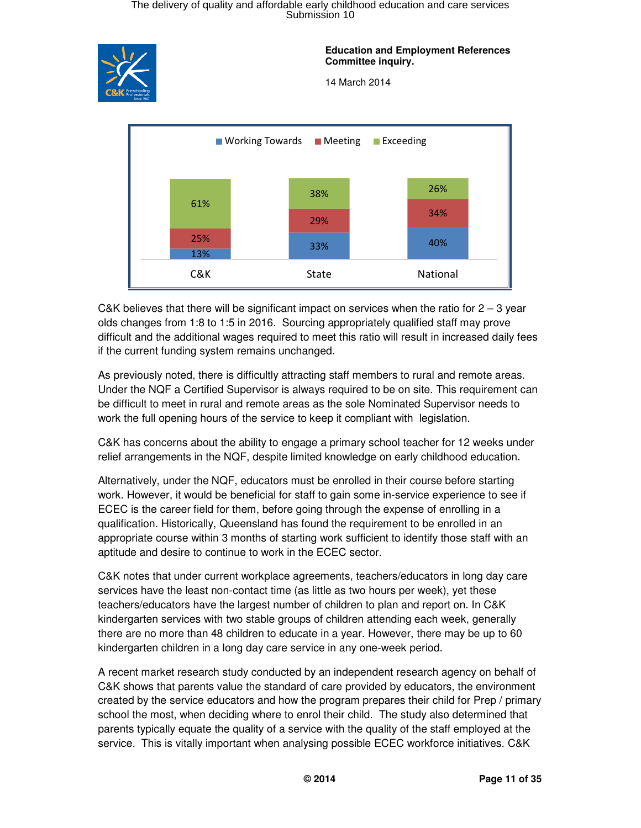

**Education and Employment References Committee inquiry.** 

14 March 2014



C&K believes that there will be significant impact on services when the ratio for  $2 - 3$  year olds changes from 1:8 to 1:5 in 2016. Sourcing appropriately qualified staff may prove difficult and the additional wages required to meet this ratio will result in increased daily fees if the current funding system remains unchanged.

As previously noted, there is difficultly attracting staff members to rural and remote areas. Under the NQF a Certified Supervisor is always required to be on site. This requirement can be difficult to meet in rural and remote areas as the sole Nominated Supervisor needs to work the full opening hours of the service to keep it compliant with legislation.

C&K has concerns about the ability to engage a primary school teacher for 12 weeks under relief arrangements in the NQF, despite limited knowledge on early childhood education.

Alternatively, under the NQF, educators must be enrolled in their course before starting work. However, it would be beneficial for staff to gain some in-service experience to see if ECEC is the career field for them, before going through the expense of enrolling in a qualification. Historically, Queensland has found the requirement to be enrolled in an appropriate course within 3 months of starting work sufficient to identify those staff with an aptitude and desire to continue to work in the ECEC sector.

C&K notes that under current workplace agreements, teachers/educators in long day care services have the least non-contact time (as little as two hours per week), yet these teachers/educators have the largest number of children to plan and report on. In C&K kindergarten services with two stable groups of children attending each week, generally there are no more than 48 children to educate in a year. However, there may be up to 60 kindergarten children in a long day care service in any one-week period.

A recent market research study conducted by an independent research agency on behalf of C&K shows that parents value the standard of care provided by educators, the environment created by the service educators and how the program prepares their child for Prep / primary school the most, when deciding where to enrol their child. The study also determined that parents typically equate the quality of a service with the quality of the staff employed at the service. This is vitally important when analysing possible ECEC workforce initiatives. C&K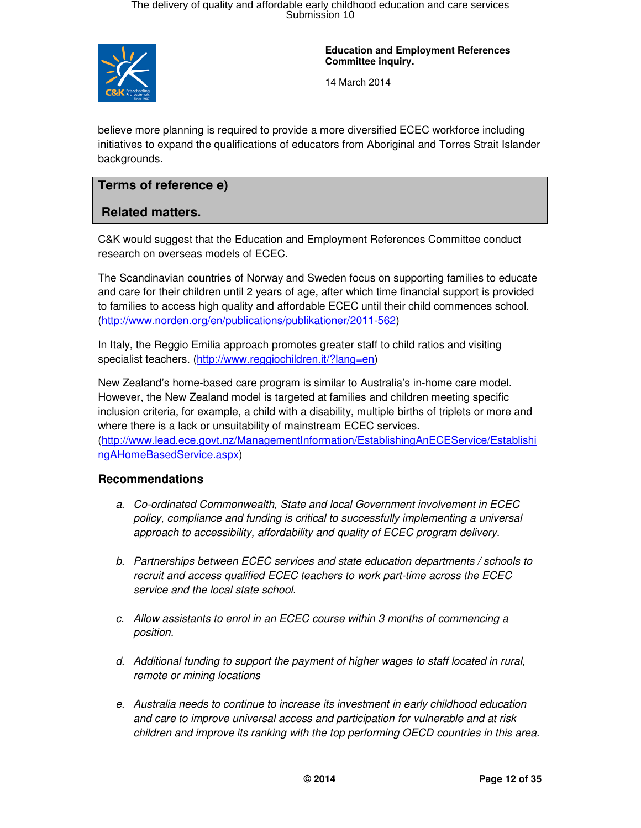

**Education and Employment References Committee inquiry.** 

14 March 2014

believe more planning is required to provide a more diversified ECEC workforce including initiatives to expand the qualifications of educators from Aboriginal and Torres Strait Islander backgrounds.

### **Terms of reference e)**

### **Related matters.**

C&K would suggest that the Education and Employment References Committee conduct research on overseas models of ECEC.

The Scandinavian countries of Norway and Sweden focus on supporting families to educate and care for their children until 2 years of age, after which time financial support is provided to families to access high quality and affordable ECEC until their child commences school. (http://www.norden.org/en/publications/publikationer/2011-562)

In Italy, the Reggio Emilia approach promotes greater staff to child ratios and visiting specialist teachers. (http://www.reggiochildren.it/?lang=en)

New Zealand's home-based care program is similar to Australia's in-home care model. However, the New Zealand model is targeted at families and children meeting specific inclusion criteria, for example, a child with a disability, multiple births of triplets or more and where there is a lack or unsuitability of mainstream ECEC services. (http://www.lead.ece.govt.nz/ManagementInformation/EstablishingAnECEService/Establishi ngAHomeBasedService.aspx)

#### **Recommendations**

- a. Co-ordinated Commonwealth, State and local Government involvement in ECEC policy, compliance and funding is critical to successfully implementing a universal approach to accessibility, affordability and quality of ECEC program delivery.
- b. Partnerships between ECEC services and state education departments / schools to recruit and access qualified ECEC teachers to work part-time across the ECEC service and the local state school.
- c. Allow assistants to enrol in an ECEC course within 3 months of commencing a position.
- d. Additional funding to support the payment of higher wages to staff located in rural, remote or mining locations
- e. Australia needs to continue to increase its investment in early childhood education and care to improve universal access and participation for vulnerable and at risk children and improve its ranking with the top performing OECD countries in this area.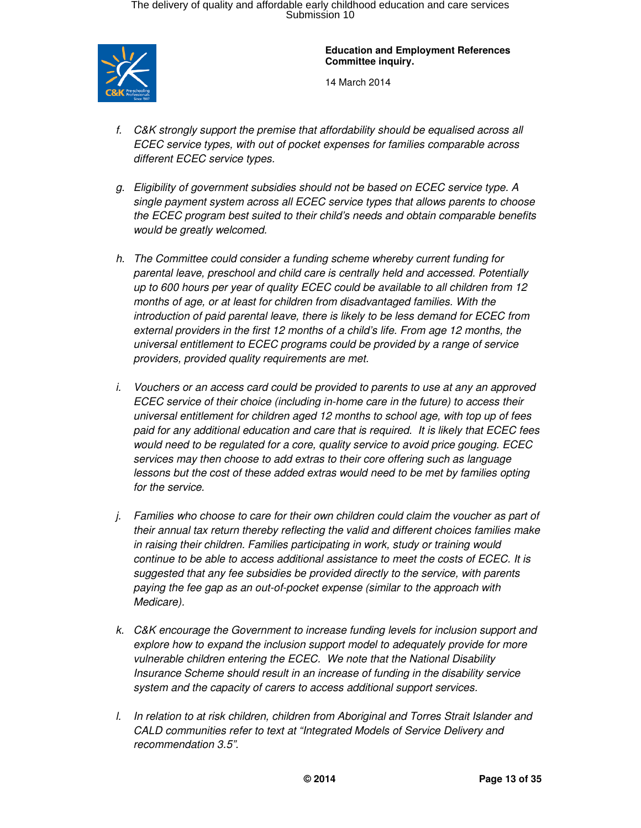

**Education and Employment References Committee inquiry.** 

- f. C&K strongly support the premise that affordability should be equalised across all ECEC service types, with out of pocket expenses for families comparable across different ECEC service types.
- g. Eligibility of government subsidies should not be based on ECEC service type. A single payment system across all ECEC service types that allows parents to choose the ECEC program best suited to their child's needs and obtain comparable benefits would be greatly welcomed.
- h. The Committee could consider a funding scheme whereby current funding for parental leave, preschool and child care is centrally held and accessed. Potentially up to 600 hours per year of quality ECEC could be available to all children from 12 months of age, or at least for children from disadvantaged families. With the introduction of paid parental leave, there is likely to be less demand for ECEC from external providers in the first 12 months of a child's life. From age 12 months, the universal entitlement to ECEC programs could be provided by a range of service providers, provided quality requirements are met.
- i. Vouchers or an access card could be provided to parents to use at any an approved ECEC service of their choice (including in-home care in the future) to access their universal entitlement for children aged 12 months to school age, with top up of fees paid for any additional education and care that is required. It is likely that ECEC fees would need to be regulated for a core, quality service to avoid price gouging. ECEC services may then choose to add extras to their core offering such as language lessons but the cost of these added extras would need to be met by families opting for the service.
- j. Families who choose to care for their own children could claim the voucher as part of their annual tax return thereby reflecting the valid and different choices families make in raising their children. Families participating in work, study or training would continue to be able to access additional assistance to meet the costs of ECEC. It is suggested that any fee subsidies be provided directly to the service, with parents paying the fee gap as an out-of-pocket expense (similar to the approach with Medicare).
- k. C&K encourage the Government to increase funding levels for inclusion support and explore how to expand the inclusion support model to adequately provide for more vulnerable children entering the ECEC. We note that the National Disability Insurance Scheme should result in an increase of funding in the disability service system and the capacity of carers to access additional support services.
- l. In relation to at risk children, children from Aboriginal and Torres Strait Islander and CALD communities refer to text at "Integrated Models of Service Delivery and recommendation 3.5".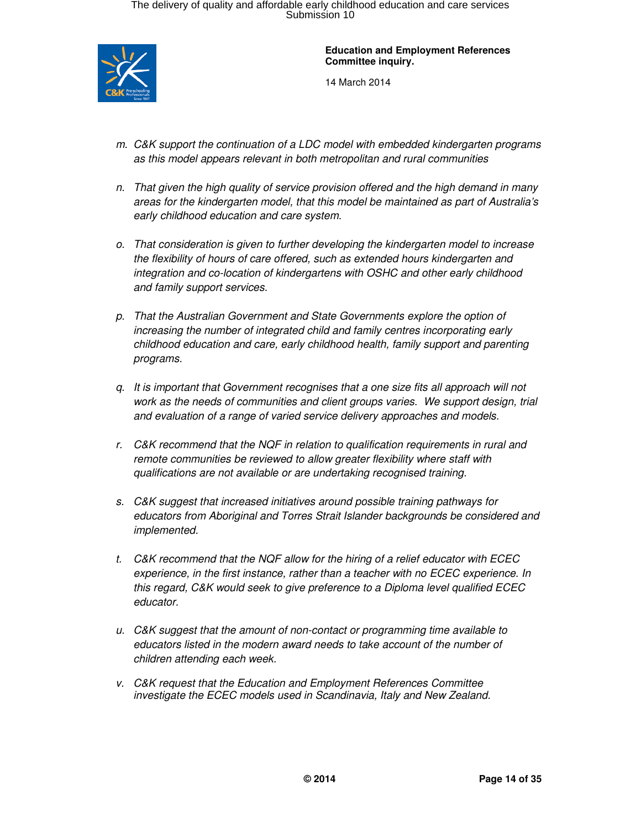

- m. C&K support the continuation of a LDC model with embedded kindergarten programs as this model appears relevant in both metropolitan and rural communities
- n. That given the high quality of service provision offered and the high demand in many areas for the kindergarten model, that this model be maintained as part of Australia's early childhood education and care system.
- o. That consideration is given to further developing the kindergarten model to increase the flexibility of hours of care offered, such as extended hours kindergarten and integration and co-location of kindergartens with OSHC and other early childhood and family support services.
- p. That the Australian Government and State Governments explore the option of increasing the number of integrated child and family centres incorporating early childhood education and care, early childhood health, family support and parenting programs.
- q. It is important that Government recognises that a one size fits all approach will not work as the needs of communities and client groups varies. We support design, trial and evaluation of a range of varied service delivery approaches and models.
- r. C&K recommend that the NQF in relation to qualification requirements in rural and remote communities be reviewed to allow greater flexibility where staff with qualifications are not available or are undertaking recognised training.
- s. C&K suggest that increased initiatives around possible training pathways for educators from Aboriginal and Torres Strait Islander backgrounds be considered and implemented.
- t. C&K recommend that the NQF allow for the hiring of a relief educator with ECEC experience, in the first instance, rather than a teacher with no ECEC experience. In this regard, C&K would seek to give preference to a Diploma level qualified ECEC educator.
- u. C&K suggest that the amount of non-contact or programming time available to educators listed in the modern award needs to take account of the number of children attending each week.
- v. C&K request that the Education and Employment References Committee investigate the ECEC models used in Scandinavia, Italy and New Zealand.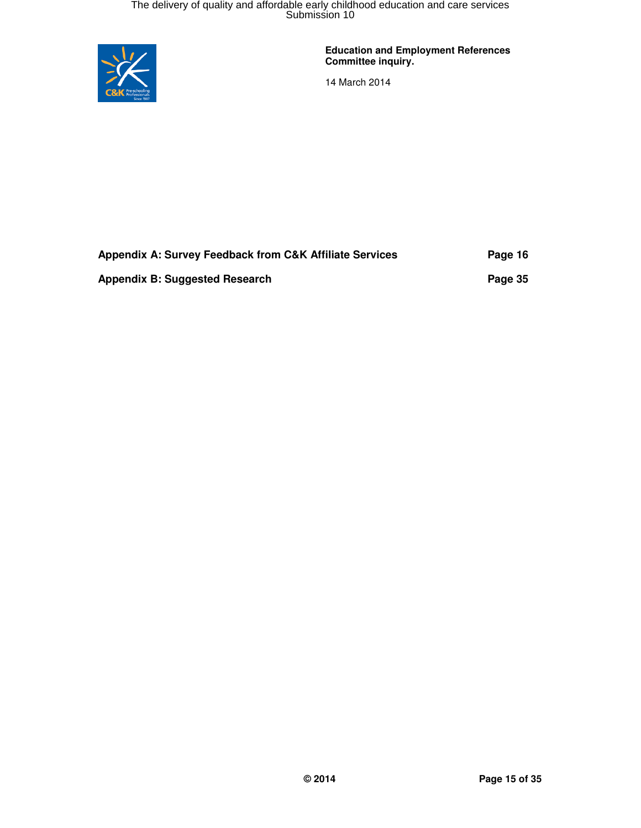

**Education and Employment References Committee inquiry.** 

| Appendix A: Survey Feedback from C&K Affiliate Services | Page 16 |
|---------------------------------------------------------|---------|
| Appendix B: Suggested Research                          | Page 35 |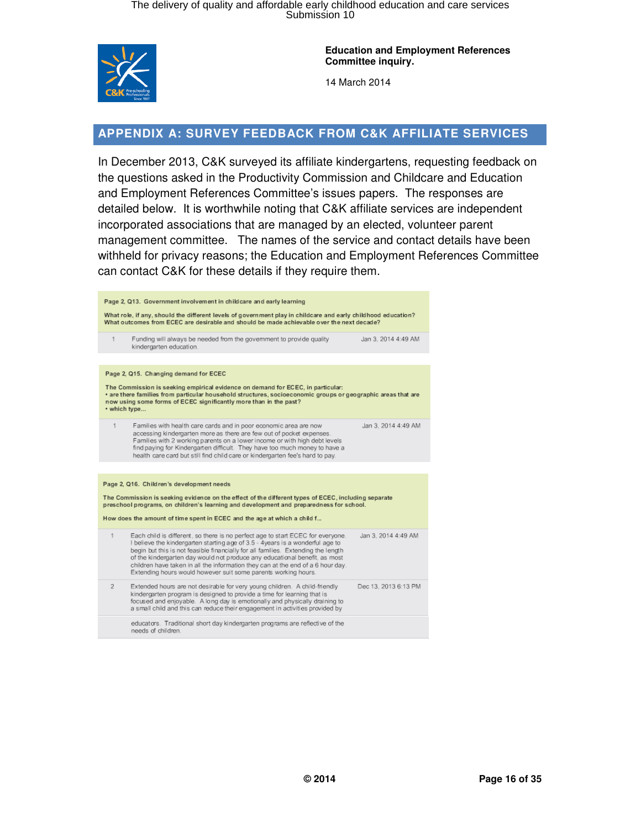

14 March 2014

### **APPENDIX A: SURVEY FEEDBACK FROM C&K AFFILIATE SERVICES**

In December 2013, C&K surveyed its affiliate kindergartens, requesting feedback on the questions asked in the Productivity Commission and Childcare and Education and Employment References Committee's issues papers. The responses are detailed below. It is worthwhile noting that C&K affiliate services are independent incorporated associations that are managed by an elected, volunteer parent management committee. The names of the service and contact details have been withheld for privacy reasons; the Education and Employment References Committee can contact C&K for these details if they require them.

|                                                                                                                                                                                                                                                                                      | Page 2, Q13. Government involvement in childcare and early learning                                                                                                                                                                                                                                                                                                                                                                                                                      |                      |  |
|--------------------------------------------------------------------------------------------------------------------------------------------------------------------------------------------------------------------------------------------------------------------------------------|------------------------------------------------------------------------------------------------------------------------------------------------------------------------------------------------------------------------------------------------------------------------------------------------------------------------------------------------------------------------------------------------------------------------------------------------------------------------------------------|----------------------|--|
| What role, if any, should the different levels of government play in childcare and early childhood education?<br>What outcomes from ECEC are desirable and should be made achievable over the next decade?                                                                           |                                                                                                                                                                                                                                                                                                                                                                                                                                                                                          |                      |  |
| 1                                                                                                                                                                                                                                                                                    | Funding will always be needed from the government to provide quality<br>kindergarten education.                                                                                                                                                                                                                                                                                                                                                                                          | Jan 3, 2014 4:49 AM  |  |
|                                                                                                                                                                                                                                                                                      |                                                                                                                                                                                                                                                                                                                                                                                                                                                                                          |                      |  |
|                                                                                                                                                                                                                                                                                      | Page 2, Q15. Changing demand for ECEC                                                                                                                                                                                                                                                                                                                                                                                                                                                    |                      |  |
| The Commission is seeking empirical evidence on demand for ECEC, in particular:<br>· are there families from particular household structures, socioeconomic groups or geographic areas that are<br>now using some forms of ECEC significantly more than in the past?<br>• which type |                                                                                                                                                                                                                                                                                                                                                                                                                                                                                          |                      |  |
| 1                                                                                                                                                                                                                                                                                    | Families with health care cards and in poor economic area are now<br>accessing kindergarten more as there are few out of pocket expenses.<br>Families with 2 working parents on a lower income or with high debt levels<br>find paying for Kindergarten difficult. They have too much money to have a<br>health care card but still find child care or kindergarten fee's hard to pay.                                                                                                   | Jan 3, 2014 4:49 AM  |  |
|                                                                                                                                                                                                                                                                                      |                                                                                                                                                                                                                                                                                                                                                                                                                                                                                          |                      |  |
| Page 2, Q16. Children's development needs                                                                                                                                                                                                                                            |                                                                                                                                                                                                                                                                                                                                                                                                                                                                                          |                      |  |
| The Commission is seeking evidence on the effect of the different types of ECEC, including separate<br>preschool programs, on children's learning and development and preparedness for school.                                                                                       |                                                                                                                                                                                                                                                                                                                                                                                                                                                                                          |                      |  |
| How does the amount of time spent in ECEC and the age at which a child f                                                                                                                                                                                                             |                                                                                                                                                                                                                                                                                                                                                                                                                                                                                          |                      |  |
| 1                                                                                                                                                                                                                                                                                    | Each child is different, so there is no perfect age to start ECEC for everyone.<br>I believe the kindergarten starting age of 3.5 - 4years is a wonderful age to<br>begin but this is not feasible financially for all families. Extending the length<br>of the kindergarten day would not produce any educational benefit, as most<br>children have taken in all the information they can at the end of a 6 hour day.<br>Extending hours would however suit some parents working hours. | Jan 3, 2014 4:49 AM  |  |
| $\overline{2}$                                                                                                                                                                                                                                                                       | Extended hours are not desirable for very young children. A child-friendly<br>kindergarten program is designed to provide a time for learning that is<br>focused and enjoyable. A long day is emotionally and physically draining to<br>a small child and this can reduce their engagement in activities provided by                                                                                                                                                                     | Dec 13, 2013 6:13 PM |  |
|                                                                                                                                                                                                                                                                                      | educators. Traditional short day kindergarten programs are reflective of the<br>needs of children.                                                                                                                                                                                                                                                                                                                                                                                       |                      |  |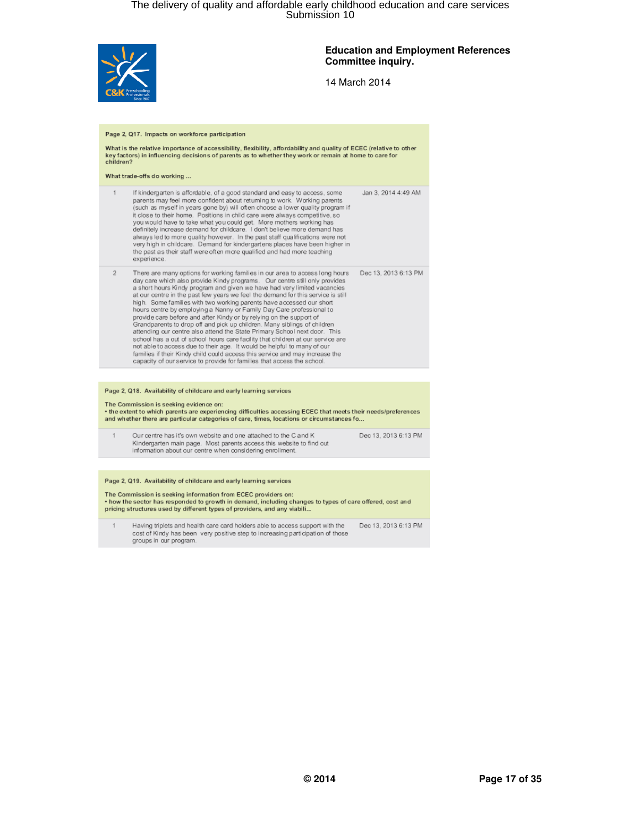

#### **Education and Employment References Committee inquiry.**

| Page 2, Q17. Impacts on workforce participation<br>What is the relative importance of accessibility, flexibility, affordability and quality of ECEC (relative to other<br>key factors) in influencing decisions of parents as to whether they work or remain at home to care for<br>children?                               |                                                                                                                                                                                                                                                                                                                                                                                                                                                                                                                                                                                                                                                                                                                                                                                                                                                                                                                                                                                                                                    |                      |  |
|-----------------------------------------------------------------------------------------------------------------------------------------------------------------------------------------------------------------------------------------------------------------------------------------------------------------------------|------------------------------------------------------------------------------------------------------------------------------------------------------------------------------------------------------------------------------------------------------------------------------------------------------------------------------------------------------------------------------------------------------------------------------------------------------------------------------------------------------------------------------------------------------------------------------------------------------------------------------------------------------------------------------------------------------------------------------------------------------------------------------------------------------------------------------------------------------------------------------------------------------------------------------------------------------------------------------------------------------------------------------------|----------------------|--|
|                                                                                                                                                                                                                                                                                                                             | What trade-offs do working                                                                                                                                                                                                                                                                                                                                                                                                                                                                                                                                                                                                                                                                                                                                                                                                                                                                                                                                                                                                         |                      |  |
| 1                                                                                                                                                                                                                                                                                                                           | If kindergarten is affordable, of a good standard and easy to access, some<br>parents may feel more confident about returning to work. Working parents<br>(such as myself in years gone by) will often choose a lower quality program if<br>it close to their home. Positions in child care were always competitive, so<br>you would have to take what you could get. More mothers working has<br>definitely increase demand for childcare. I don't believe more demand has<br>always led to more quality however. In the past staff qualifications were not<br>very high in childcare. Demand for kindergartens places have been higher in<br>the past as their staff were often more qualified and had more teaching<br>experience.                                                                                                                                                                                                                                                                                              | Jan 3, 2014 4:49 AM  |  |
| $\overline{2}$                                                                                                                                                                                                                                                                                                              | There are many options for working families in our area to access long hours<br>day care which also provide Kindy programs. Our centre still only provides<br>a short hours Kindy program and given we have had very limited vacancies<br>at our centre in the past few years we feel the demand for this service is still<br>high Some families with two working parents have accessed our short<br>hours centre by employing a Nanny or Family Day Care professional to<br>provide care before and after Kindy or by relying on the support of<br>Grandparents to drop off and pick up children. Many siblings of children<br>attending our centre also attend the State Primary School next door. This<br>school has a out of school hours care facility that children at our service are<br>not able to access due to their age. It would be helpful to many of our<br>families if their Kindy child could access this service and may increase the<br>capacity of our service to provide for families that access the school. | Dec 13, 2013 6:13 PM |  |
|                                                                                                                                                                                                                                                                                                                             |                                                                                                                                                                                                                                                                                                                                                                                                                                                                                                                                                                                                                                                                                                                                                                                                                                                                                                                                                                                                                                    |                      |  |
| Page 2, Q18. Availability of childcare and early learning services<br>The Commission is seeking evidence on:<br>. the extent to which parents are experiencing difficulties accessing ECEC that meets their needs/preferences<br>and whether there are particular categories of care, times, locations or circumstances fo  |                                                                                                                                                                                                                                                                                                                                                                                                                                                                                                                                                                                                                                                                                                                                                                                                                                                                                                                                                                                                                                    |                      |  |
| 1                                                                                                                                                                                                                                                                                                                           | Our centre has it's own website and one attached to the C and K<br>Kindergarten main page. Most parents access this website to find out<br>information about our centre when considering enrollment.                                                                                                                                                                                                                                                                                                                                                                                                                                                                                                                                                                                                                                                                                                                                                                                                                               | Dec 13, 2013 6:13 PM |  |
|                                                                                                                                                                                                                                                                                                                             |                                                                                                                                                                                                                                                                                                                                                                                                                                                                                                                                                                                                                                                                                                                                                                                                                                                                                                                                                                                                                                    |                      |  |
| Page 2, Q19. Availability of childcare and early learning services<br>The Commission is seeking information from ECEC providers on:<br>. how the sector has responded to growth in demand, including changes to types of care offered, cost and<br>pricing structures used by different types of providers, and any viabili |                                                                                                                                                                                                                                                                                                                                                                                                                                                                                                                                                                                                                                                                                                                                                                                                                                                                                                                                                                                                                                    |                      |  |
| 1                                                                                                                                                                                                                                                                                                                           | Having triplets and health care card holders able to access support with the<br>cost of Kindy has been very positive step to increasing participation of those<br>groups in our program.                                                                                                                                                                                                                                                                                                                                                                                                                                                                                                                                                                                                                                                                                                                                                                                                                                           | Dec 13, 2013 6:13 PM |  |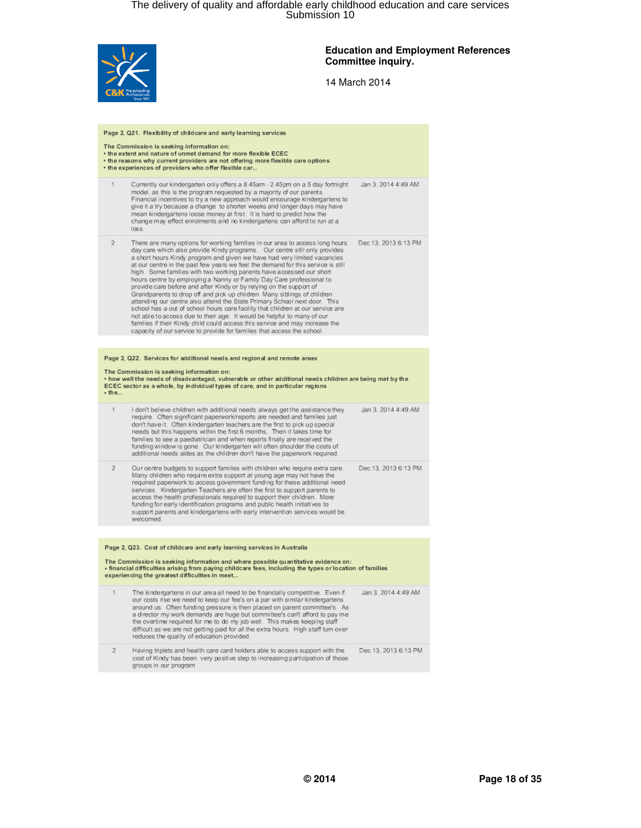

#### **Education and Employment References Committee inquiry.**

| Page 2, Q21. Flexibility of childcare and early learning services                                                                                                                                                                                       |                                                                                                                                                                                                                                                                                                                                                                                                                                                                                                                                                                                                                                                                                                                                                                                                                                                                                                                                                                                                                                     |                      |  |
|---------------------------------------------------------------------------------------------------------------------------------------------------------------------------------------------------------------------------------------------------------|-------------------------------------------------------------------------------------------------------------------------------------------------------------------------------------------------------------------------------------------------------------------------------------------------------------------------------------------------------------------------------------------------------------------------------------------------------------------------------------------------------------------------------------------------------------------------------------------------------------------------------------------------------------------------------------------------------------------------------------------------------------------------------------------------------------------------------------------------------------------------------------------------------------------------------------------------------------------------------------------------------------------------------------|----------------------|--|
| The Commission is seeking information on:<br>* the extent and nature of unmet demand for more flexible ECEC<br>• the reasons why current providers are not offering more flexible care options<br>* the experiences of providers who offer flexible car |                                                                                                                                                                                                                                                                                                                                                                                                                                                                                                                                                                                                                                                                                                                                                                                                                                                                                                                                                                                                                                     |                      |  |
| 1                                                                                                                                                                                                                                                       | Currently our kindergarten only offers a 8.45am - 2.45pm on a 5 day fortnight<br>model, as this is the program requested by a majority of our parents.<br>Financial incentives to try a new approach would encourage kindergartens to<br>give it a try because a change to shorter weeks and longer days may have<br>mean kindergartens loose money at first. It is hard to predict how the<br>change may effect enrolments and no kindergartens can afford to run at a<br>loss.                                                                                                                                                                                                                                                                                                                                                                                                                                                                                                                                                    | Jan 3. 2014 4:49 AM  |  |
| $\overline{2}$                                                                                                                                                                                                                                          | There are many options for working families in our area to access long hours<br>day care which also provide Kindy programs. Our centre still only provides<br>a short hours Kindy program and given we have had very limited vacancies<br>at our centre in the past few years we feel the demand for this service is still<br>high. Some families with two working parents have accessed our short<br>hours centre by employing a Nanny or Family Day Care professional to<br>provide care before and after Kindy or by relying on the support of<br>Grandparents to drop off and pick up children. Many siblings of children<br>attending our centre also attend the State Primary School next door. This<br>school has a out of school hours care facility that children at our service are<br>not able to access due to their age. It would be helpful to many of our<br>families if their Kindy child could access this service and may increase the<br>capacity of our service to provide for families that access the school. | Dec 13, 2013 6:13 PM |  |
|                                                                                                                                                                                                                                                         |                                                                                                                                                                                                                                                                                                                                                                                                                                                                                                                                                                                                                                                                                                                                                                                                                                                                                                                                                                                                                                     |                      |  |
|                                                                                                                                                                                                                                                         | Page 2, Q22. Services for additional needs and regional and remote areas                                                                                                                                                                                                                                                                                                                                                                                                                                                                                                                                                                                                                                                                                                                                                                                                                                                                                                                                                            |                      |  |
| $•$ the                                                                                                                                                                                                                                                 | The Commission is seeking information on:<br>. how well the needs of disadvantaged, vulnerable or other additional needs children are being met by the<br>ECEC sector as a whole, by individual types of care, and in particular regions                                                                                                                                                                                                                                                                                                                                                                                                                                                                                                                                                                                                                                                                                                                                                                                            |                      |  |
| 1                                                                                                                                                                                                                                                       | I don't believe children with additional needs always get the assistance they<br>require. Often significant paperwork/reports are needed and families just<br>don't have it. Often kindergarten teachers are the first to pick up special<br>needs but this happens within the first 6 months. Then it takes time for<br>families to see a paediatrician and when reports finally are received the<br>funding window is gone. Our kindergarten will often shoulder the costs of<br>additional needs aides as the children don't have the paperwork required.                                                                                                                                                                                                                                                                                                                                                                                                                                                                        | Jan 3, 2014 4:49 AM  |  |
| 2                                                                                                                                                                                                                                                       | Our centre budgets to support families with children who require extra care.<br>Many children who require extra support at young age may not have the<br>required paperwork to access government funding for these additional need<br>services. Kindergarten Teachers are often the first to support parents to<br>access the health professionals required to support their children. More<br>funding for early identification programs and public health initiatives to<br>support parents and kindergartens with early intervention services would be<br>welcomed.                                                                                                                                                                                                                                                                                                                                                                                                                                                               | Dec 13, 2013 6:13 PM |  |
|                                                                                                                                                                                                                                                         | Page 2, Q23. Cost of childcare and early learning services in Australia                                                                                                                                                                                                                                                                                                                                                                                                                                                                                                                                                                                                                                                                                                                                                                                                                                                                                                                                                             |                      |  |
| The Commission is seeking information and where possible quantitative evidence on:<br>· financial difficulties arising from paying childcare fees, including the types or location of families<br>experiencing the greatest difficulties in meet        |                                                                                                                                                                                                                                                                                                                                                                                                                                                                                                                                                                                                                                                                                                                                                                                                                                                                                                                                                                                                                                     |                      |  |
| 1                                                                                                                                                                                                                                                       | The kindergartens in our area all need to be financially competitive. Even if<br>our costs rise we need to keep our fee's on a par with similar kindergartens<br>around us. Often funding pressure is then placed on parent committee's. As<br>a director my work demands are huge but committee's can't afford to pay me<br>the overtime required for me to do my job well. This makes keeping staff<br>difficult as we are not getting paid for all the extra hours. High staff tum over<br>reduces the quality of education provided.                                                                                                                                                                                                                                                                                                                                                                                                                                                                                            | Jan 3, 2014 4:49 AM  |  |
| $\overline{2}$                                                                                                                                                                                                                                          | Having triplets and health care card holders able to access support with the<br>cost of Kindy has been very positive step to increasing participation of those<br>groups in our program                                                                                                                                                                                                                                                                                                                                                                                                                                                                                                                                                                                                                                                                                                                                                                                                                                             | Dec 13, 2013 6:13 PM |  |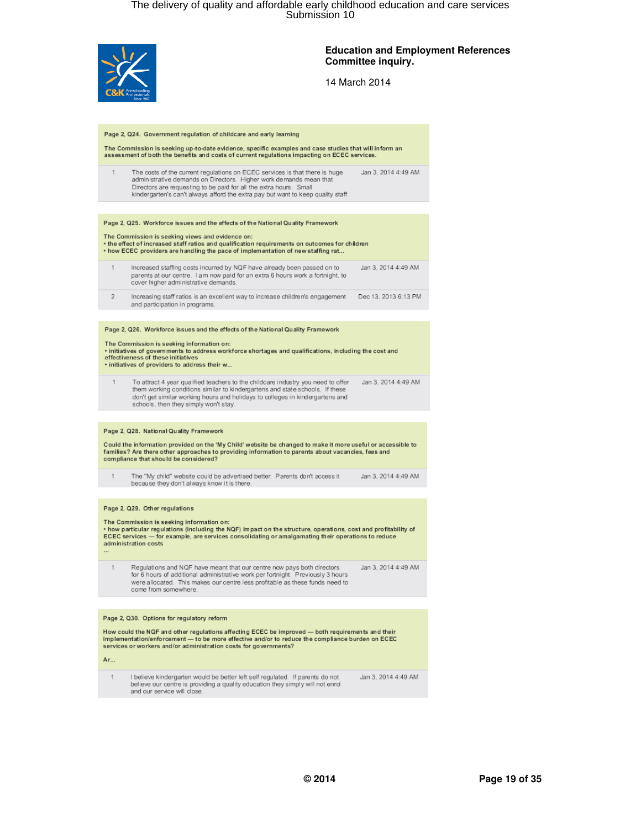

#### **Education and Employment References Committee inquiry.**

| Page 2, Q24. Government regulation of childcare and early learning                                                                                                                                                                                                                                                                      |  |  |
|-----------------------------------------------------------------------------------------------------------------------------------------------------------------------------------------------------------------------------------------------------------------------------------------------------------------------------------------|--|--|
| The Commission is seeking up-to-date evidence, specific examples and case studies that will inform an<br>assessment of both the benefits and costs of current regulations impacting on ECEC services.                                                                                                                                   |  |  |
| 1<br>The costs of the current regulations on ECEC services is that there is huge<br>Jan 3, 2014 4:49 AM<br>administrative demands on Directors. Higher work demands mean that<br>Directors are requesting to be paid for all the extra hours. Small<br>kindergarten's can't always afford the extra pay but want to keep quality staff. |  |  |
|                                                                                                                                                                                                                                                                                                                                         |  |  |
| Page 2, Q25. Workforce issues and the effects of the National Quality Framework                                                                                                                                                                                                                                                         |  |  |
| The Commission is seeking views and evidence on:<br>. the effect of increased staff ratios and qualification requirements on outcomes for children<br>. how ECEC providers are handling the pace of implementation of new staffing rat                                                                                                  |  |  |
| Increased staffing costs incurred by NQF have already been passed on to<br>Jan 3, 2014 4:49 AM<br>1<br>parents at our centre. I am now paid for an extra 6 hours work a fortnight, to<br>cover higher administrative demands.                                                                                                           |  |  |
| $\overline{2}$<br>Increasing staff ratios is an excellent way to increase children's engagement<br>Dec 13, 2013 6:13 PM<br>and participation in programs.                                                                                                                                                                               |  |  |
|                                                                                                                                                                                                                                                                                                                                         |  |  |
| Page 2, Q26. Workforce issues and the effects of the National Quality Framework                                                                                                                                                                                                                                                         |  |  |
| The Commission is seeking information on:<br>· initiatives of governments to address workforce shortages and qualifications, including the cost and<br>effectiveness of these initiatives<br>· initiatives of providers to address their w                                                                                              |  |  |
| 1<br>To attract 4 year qualified teachers to the childcare industry you need to offer<br>Jan 3, 2014 4:49 AM<br>them working conditions similar to kindergartens and state schools. If these<br>don't get similar working hours and holidays to colleges in kindergartens and<br>schools, then they simply won't stay.                  |  |  |
|                                                                                                                                                                                                                                                                                                                                         |  |  |
| Page 2, Q28. National Quality Framework                                                                                                                                                                                                                                                                                                 |  |  |
| Could the information provided on the 'My Child' website be changed to make it more useful or accessible to<br>families? Are there other approaches to providing information to parents about vacancies, fees and<br>compliance that should be considered?                                                                              |  |  |
| The "My child" website could be advertised better. Parents don't access it<br>1<br>Jan 3, 2014 4:49 AM<br>because they don't always know it is there.                                                                                                                                                                                   |  |  |
|                                                                                                                                                                                                                                                                                                                                         |  |  |
| Page 2, Q29. Other regulations                                                                                                                                                                                                                                                                                                          |  |  |
| The Commission is seeking information on:<br>• how particular regulations (including the NQF) impact on the structure, operations, cost and profitability of<br>ECEC services - for example, are services consolidating or amalgamating their operations to reduce<br>administration costs                                              |  |  |
| Regulations and NQF have meant that our centre now pays both directors<br>Jan 3, 2014 4:49 AM<br>1<br>for 6 hours of additional administrative work per fortnight. Previously 3 hours<br>were allocated. This makes our centre less profitable as these funds need to<br>come from somewhere.                                           |  |  |
|                                                                                                                                                                                                                                                                                                                                         |  |  |
| Page 2, Q30. Options for regulatory reform                                                                                                                                                                                                                                                                                              |  |  |
| How could the NQF and other regulations affecting ECEC be improved - both requirements and their<br>implementation/enforcement - to be more effective and/or to reduce the compliance burden on ECEC<br>services or workers and/or administration costs for governments?                                                                |  |  |
| Ar                                                                                                                                                                                                                                                                                                                                      |  |  |
| I believe kindergarten would be better left self regulated. If parents do not<br>1<br>Jan 3, 2014 4:49 AM<br>believe our centre is providing a quality education they simply will not enrol<br>and our service will close.                                                                                                              |  |  |
|                                                                                                                                                                                                                                                                                                                                         |  |  |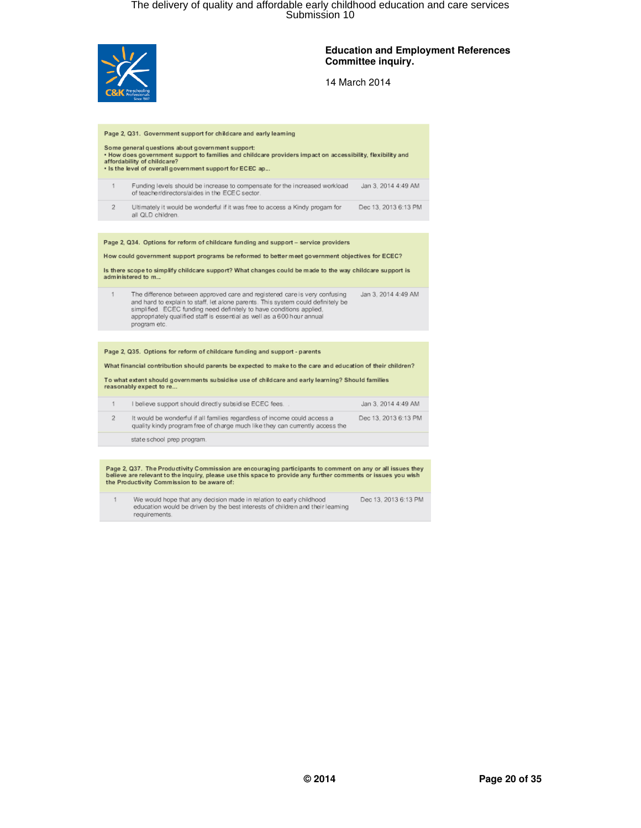

#### **Education and Employment References Committee inquiry.**

14 March 2014

| Page 2, Q31. Government support for childcare and early learning<br>Some general questions about government support:<br>. How does government support to families and childcare providers impact on accessibility, flexibility and |                                                                                                                                                                                                                                                                                                                                   |                      |  |
|------------------------------------------------------------------------------------------------------------------------------------------------------------------------------------------------------------------------------------|-----------------------------------------------------------------------------------------------------------------------------------------------------------------------------------------------------------------------------------------------------------------------------------------------------------------------------------|----------------------|--|
|                                                                                                                                                                                                                                    | affordability of childcare?<br>. Is the level of overall government support for ECEC ap                                                                                                                                                                                                                                           |                      |  |
| 1                                                                                                                                                                                                                                  | Funding levels should be increase to compensate for the increased workload<br>of teacher/directors/aides in the ECEC sector.                                                                                                                                                                                                      | Jan 3, 2014 4:49 AM  |  |
| $\overline{2}$                                                                                                                                                                                                                     | Ultimately it would be wonderful if it was free to access a Kindy progam for<br>all QLD children.                                                                                                                                                                                                                                 | Dec 13, 2013 6:13 PM |  |
|                                                                                                                                                                                                                                    |                                                                                                                                                                                                                                                                                                                                   |                      |  |
|                                                                                                                                                                                                                                    | Page 2, Q34. Options for reform of childcare funding and support - service providers                                                                                                                                                                                                                                              |                      |  |
|                                                                                                                                                                                                                                    | How could government support programs be reformed to better meet government objectives for ECEC?                                                                                                                                                                                                                                  |                      |  |
| Is there scope to simplify childcare support? What changes could be made to the way childcare support is<br>administered to m                                                                                                      |                                                                                                                                                                                                                                                                                                                                   |                      |  |
| 1                                                                                                                                                                                                                                  | The difference between approved care and registered care is very confusing<br>and hard to explain to staff. let alone parents. This system could definitely be<br>simplified. ECEC funding need definitely to have conditions applied.<br>appropriately qualified staff is essential as well as a 600 hour annual<br>program etc. | Jan 3, 2014 4:49 AM  |  |
|                                                                                                                                                                                                                                    |                                                                                                                                                                                                                                                                                                                                   |                      |  |
| Page 2, Q35. Options for reform of childcare funding and support - parents                                                                                                                                                         |                                                                                                                                                                                                                                                                                                                                   |                      |  |
| What financial contribution should parents be expected to make to the care and education of their children?                                                                                                                        |                                                                                                                                                                                                                                                                                                                                   |                      |  |
| To what extent should governments subsidise use of childcare and early learning? Should families<br>reasonably expect to re                                                                                                        |                                                                                                                                                                                                                                                                                                                                   |                      |  |
|                                                                                                                                                                                                                                    | I believe support should directly subsidise ECEC fees.                                                                                                                                                                                                                                                                            | Jan 3, 2014 4:49 AM  |  |

|  | It would be wonderful if all families regardless of income could access a<br>quality kindy program free of charge much like they can currently access the | Dec 13, 2013 6:13 PM |
|--|-----------------------------------------------------------------------------------------------------------------------------------------------------------|----------------------|
|  |                                                                                                                                                           |                      |

state school prep program.

Page 2, Q37. The Productivity Commission are encouraging participants to comment on any or all issues they<br>believe are relevant to the inquiry, please use this space to provide any further comments or issues you wish<br>the P

We would hope that any decision made in relation to early childhood<br>education would be driven by the best interests of children and their learning Dec 13, 2013 6:13 PM  $\mathbf{1}$ requirements.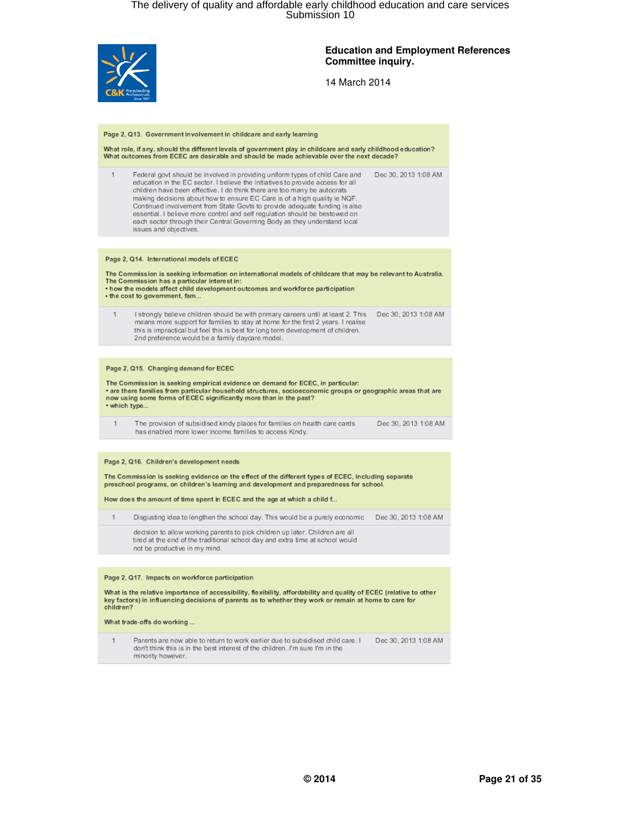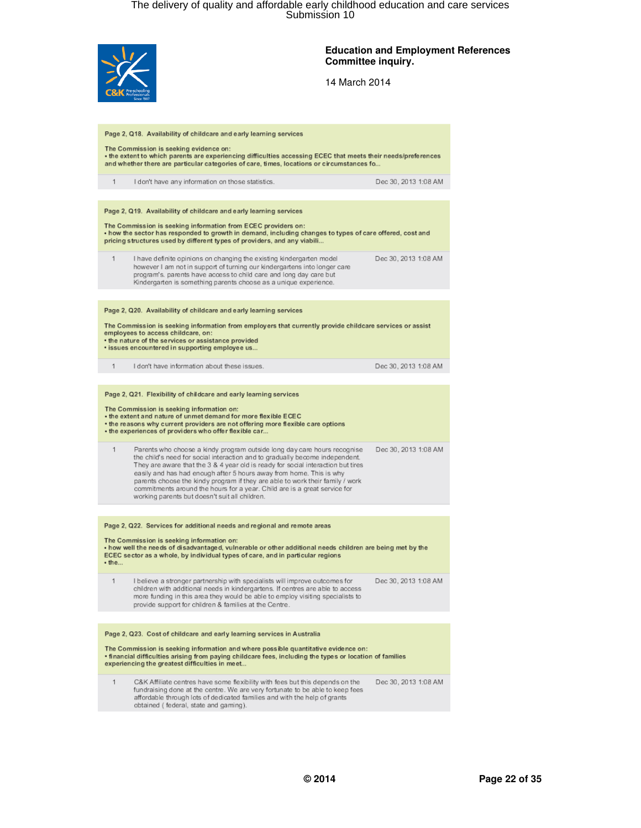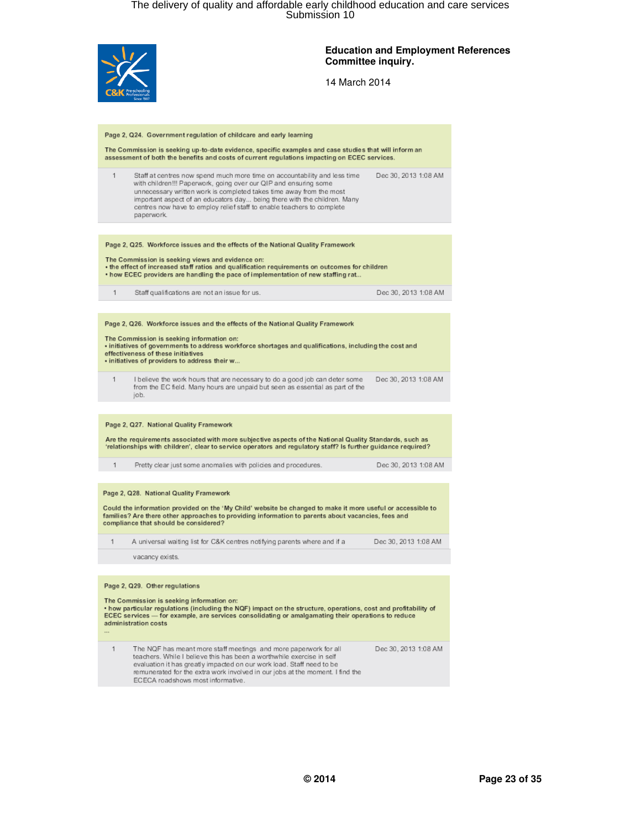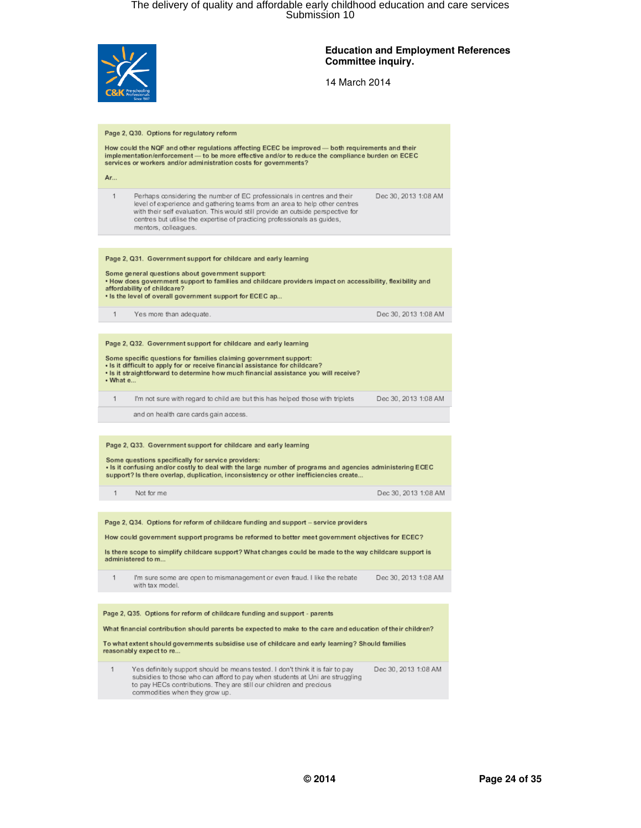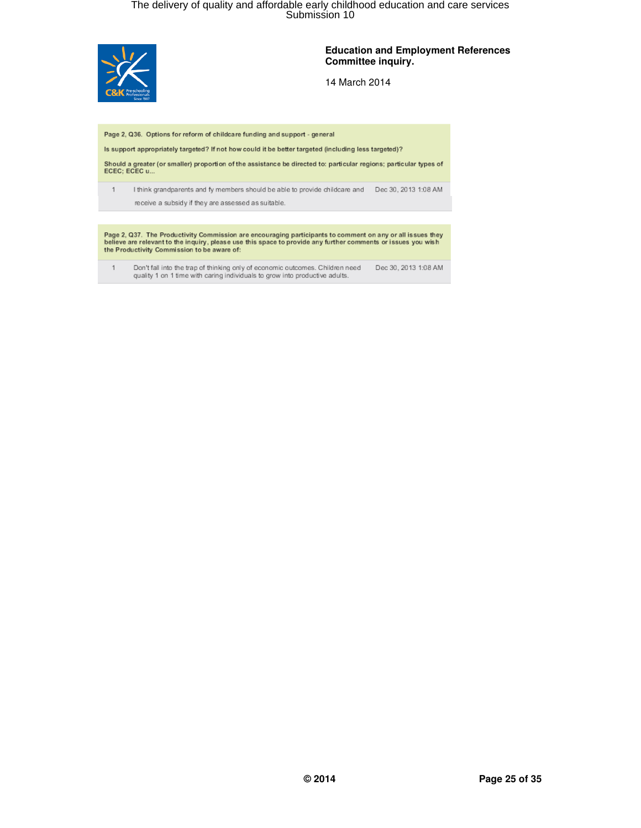

#### **Education and Employment References Committee inquiry.**

14 March 2014

Page 2, Q36. Options for reform of childcare funding and support - general

Is support appropriately targeted? If not how could it be better targeted (including less targeted)?

Should a greater (or smaller) proportion of the assistance be directed to: particular regions; particular types of<br>ECEC; ECEC u...

I think grandparents and fy members should be able to provide childcare and Dec 30, 2013 1:08 AM  $1$ receive a subsidy if they are assessed as suitable.

Page 2, Q37. The Productivity Commission are encouraging participants to comment on any or all issues they<br>believe are relevant to the inquiry, please use this space to provide any further comments or issues you wish<br>the P

Don't fall into the trap of thinking only of economic outcomes. Children need Dec 30, 2013 1:08 AM quality 1 on 1 time with caring individuals to grow into productive adults.  $\mathbf{1}$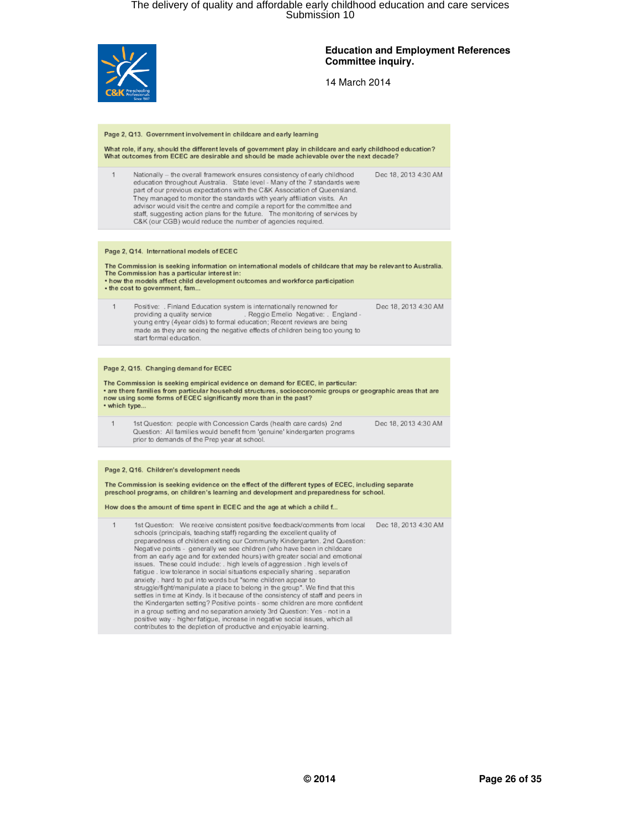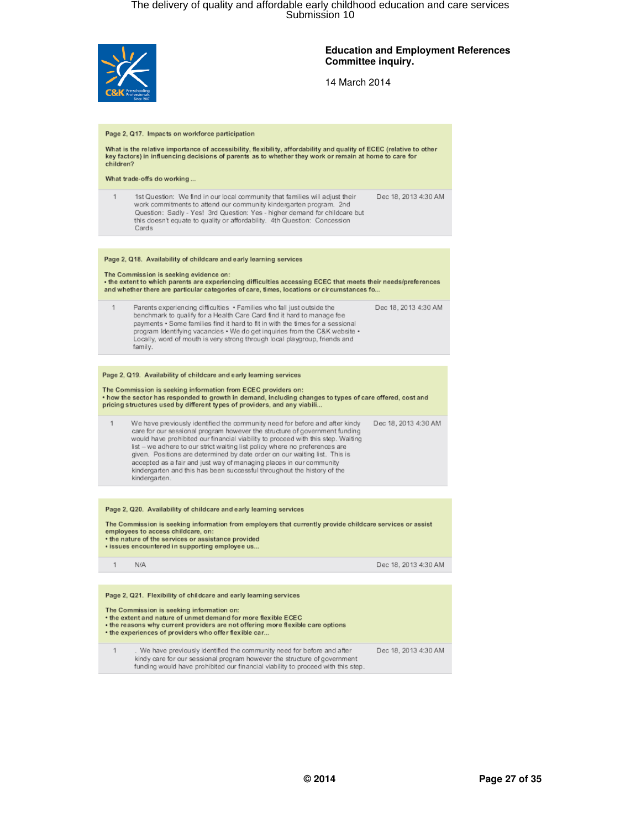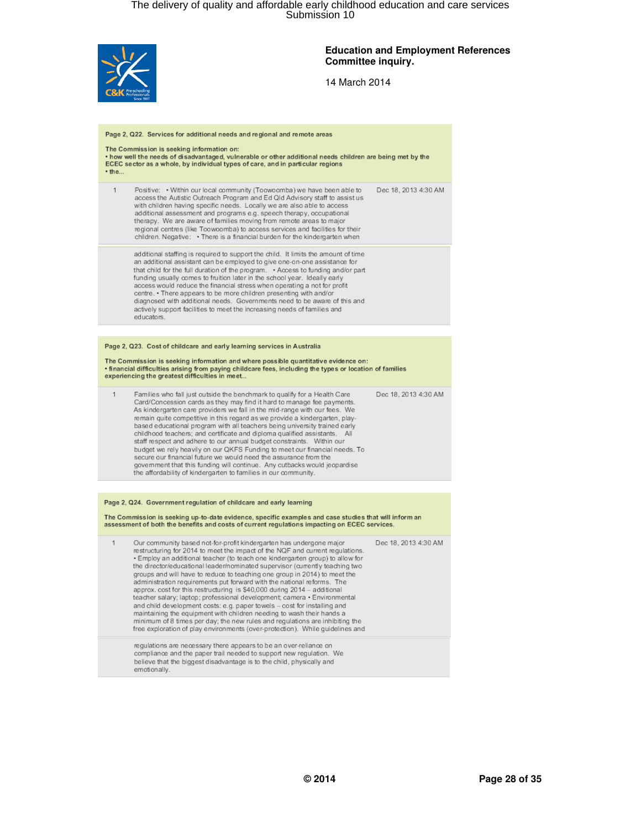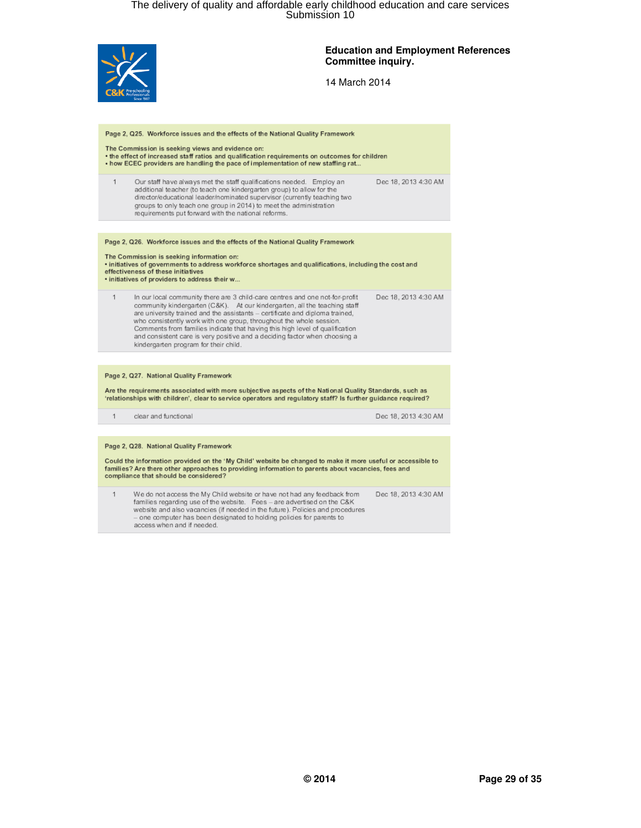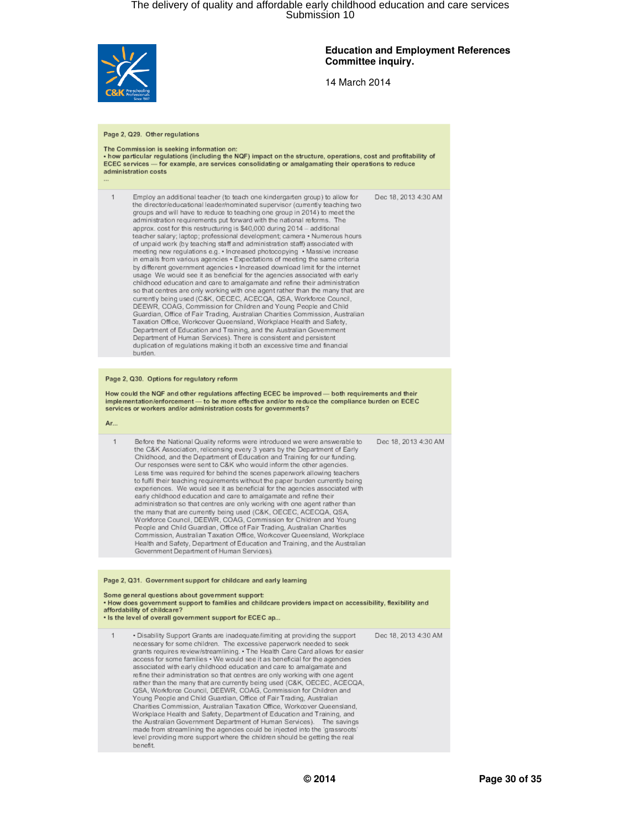

 $\mathbf{1}$ 

#### **Education and Employment References Committee inquiry.**

14 March 2014

#### Page 2, Q29. Other regulations

### The Commission is seeking information on:<br>• how particular regulations (including the NQF) impact on the structure, operations, cost and profitability of<br>ECEC services — for example, are services consolidating or amalgamat administration costs

Employ an additional teacher (to teach one kindergarten group) to allow for Dec 18, 2013 4:30 AM the director/educational leader/nominated supervisor (currently teaching two

groups and will have to reduce to teaching one group in 2014) to meet the administration requirements put forward with the national reforms. The approx. cost for this restructuring is \$40,000 during 2014 - additional teacher salary; laptop; professional development; camera · Numerous hours of unpaid work (by teaching staff and administration staff) associated with<br>meeting new regulations e.g. • Increased photocopying • Massive increase in emails from various agencies . Expectations of meeting the same criteria by different government agencies . Increased download limit for the internet usage We would see it as beneficial for the agencies associated with early childhood education and care to amalgamate and refine their administration<br>so that centres are only working with one agent rather than the many that are currently being used (C&K, OECEC, ACECQA, QSA, Workforce Council,<br>DEEWR, COAG, Commission for Children and Young People and Child Guardian, Office of Fair Trading, Australian Charities Commission, Australian Taxation Office, Workcover Queensland, Workplace Health and Safety, Department of Education and Training, and the Australian Government Department of Human Services). There is consistent and persistent<br>duplication of regulations making it both an excessive time and financial<br>duplication of regulations making it both an excessive time and financial burden

#### Page 2, Q30. Options for regulatory reform

How could the NQF and other regulations affecting ECEC be improved- both requirements and their implementation/enforcement — to be more effective and/or to reduce the compliance burden on ECEC services or workers and/or administration costs for governments?

| Before the National Qu<br>the C&K Association, r |
|--------------------------------------------------|

Dec 18, 2013 4:30 AM ality reforms were introduced we were answerable to Det C&K Association, relicensing every 3 years by the Department of Early<br>Childhood, and the Department of Education and Training for our funding.<br>Our responses were sent to C&K who would inform the other agencies. Less time was required for behind the scenes paperwork allowing teachers to fulfil their teaching requirements without the paper burden currently being experiences. We would see it as beneficial for the agencies associated with early childhood education and care to amalgamate and refine their administration so that centres are only working with one agent rather than<br>the many that are currently being used (C&K, OECEC, ACECQA, QSA,<br>Workforce Council, DEEWR, COAG, Commission for Children and Young<br>People and Child Commission, Australian Taxation Office, Workcover Queensland, Workplace Health and Safety, Department of Education and Training, and the Australian Government Department of Human Services).

#### Page 2, Q31. Government support for childcare and early learning Some general questions about government support: . How does government support to families and childcare providers impact on accessibility, flexibility and affordability of childcare? . Is the level of overall government support for ECEC ap.. Dec 18, 2013 4:30 AM . Disability Support Grants are inadequate/limiting at providing the support necessary for some children. The excessive paperwork needed to seek grants requires review/streamlining. . The Health Care Card allows for easier access for some families . We would see it as beneficial for the agencies associated with early childhood education and care to amalgamate and refine their administration so that centres are only working with one agent<br>rather than the many that are currently being used (C&K, OECEC, ACECQA,<br>QSA, Workforce Council, DEEWR, COAG, Commission for Children and Young People and Child Guardian, Office of Fair Trading, Australian Charities Commission, Australian Taxation Office, Workcover Queensland, Workplace Health and Safety, Department of Education and Training, and the Australian Government Department of Human Services). The savings made from streamlining the agencies could be injected into the 'grassroots' level providing more support where the children should be getting the real benefit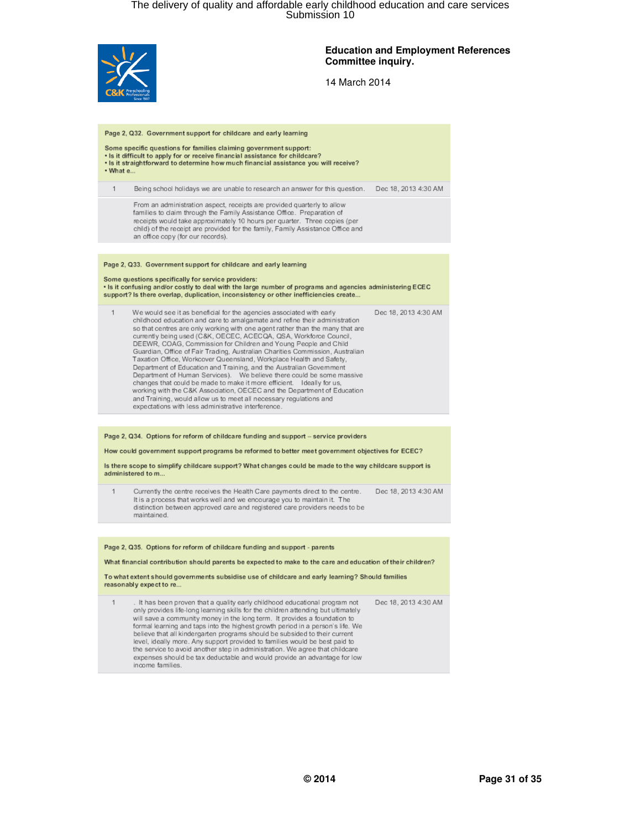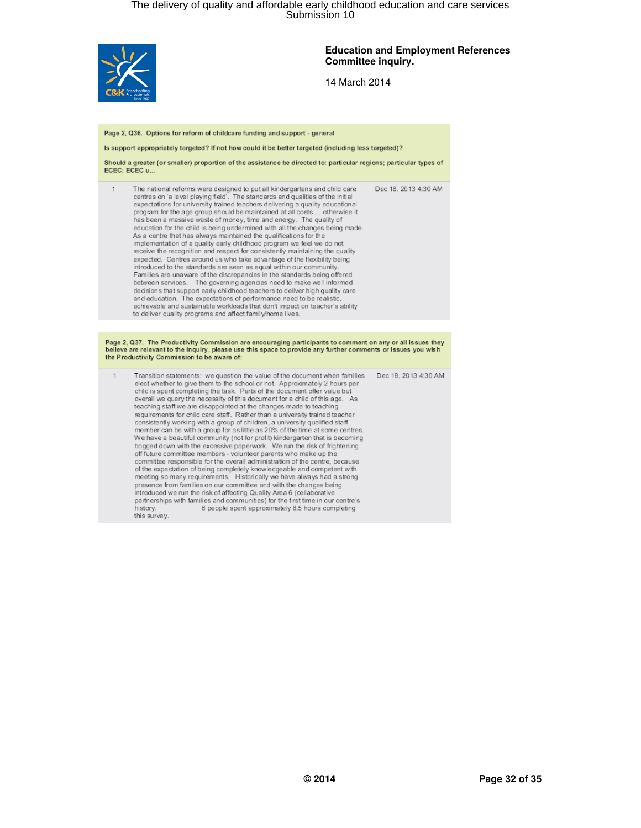

#### **Education and Employment References Committee inquiry.**

14 March 2014

#### Page 2, Q36. Options for reform of childcare funding and support - general

Is support appropriately targeted? If not how could it be better targeted (including less targeted)?

Should a greater (or smaller) proportion of the assistance be directed to: particular regions; particular types of ECEC; ECEC u..

| The national reforms were designed to put all kindergartens and child care<br>centres on 'a level playing field'. The standards and qualities of the initial<br>expectations for university trained teachers delivering a quality educational<br>program for the age group should be maintained at all costs  otherwise it<br>has been a massive waste of money, time and energy. The quality of<br>education for the child is being undermined with all the changes being made.<br>As a centre that has always maintained the qualifications for the<br>implementation of a quality early childhood program we feel we do not<br>receive the recognition and respect for consistently maintaining the quality<br>expected. Centres around us who take advantage of the flexibility being<br>introduced to the standards are seen as equal within our community.<br>Families are unaware of the discrepancies in the standards being offered<br>between services. The governing agencies need to make well informed<br>decisions that support early childhood teachers to deliver high quality care<br>and education. The expectations of performance need to be realistic.<br>achievable and sustainable workloads that don't impact on teacher's ability | Dec 18, 2013 4:30 AM |
|------------------------------------------------------------------------------------------------------------------------------------------------------------------------------------------------------------------------------------------------------------------------------------------------------------------------------------------------------------------------------------------------------------------------------------------------------------------------------------------------------------------------------------------------------------------------------------------------------------------------------------------------------------------------------------------------------------------------------------------------------------------------------------------------------------------------------------------------------------------------------------------------------------------------------------------------------------------------------------------------------------------------------------------------------------------------------------------------------------------------------------------------------------------------------------------------------------------------------------------------------------|----------------------|
| to deliver quality programs and affect family/home lives.                                                                                                                                                                                                                                                                                                                                                                                                                                                                                                                                                                                                                                                                                                                                                                                                                                                                                                                                                                                                                                                                                                                                                                                                  |                      |

Page 2, Q37. The Productivity Commission are encouraging participants to comment on any or all issues they believe are relevant to the inquiry, please use this space to provide any further comments or issues you wish the Productivity Commission to be aware of:

Transition statements: we question the value of the document when families Dec 18, 2013 4:30 AM  $\mathbf{1}$ elect whether to give them to the school or not. Approximately 2 hours per child is spent completing the task. Parts of the document offer value but overall we query the necessity of this document for a child of this age. As<br>teaching staff we are disappointed at the changes made to teaching requirements for child care staff. Rather than a university trained teacher consistently working with a group of children, a university qualified staff member can be with a group for as little as 20% of the time at some centres. We have a beautiful community (not for profit) kindergarten that is becoming bogged down with the excessive paperwork. We run the risk of frightening off future committee members - volunteer parents who make up the<br>committee responsible for the overall administration of the centre, because of the expectation of being completely knowledgeable and competent with meeting so many requirements. Historically we have always had a strong presence from families on our committee and with the changes being introduced we run the risk of affecting Quality Area 6 (collaborative<br>partnerships with families and communities) for the first time in our centre's 6 people spent approximately 6.5 hours completing history. this survey.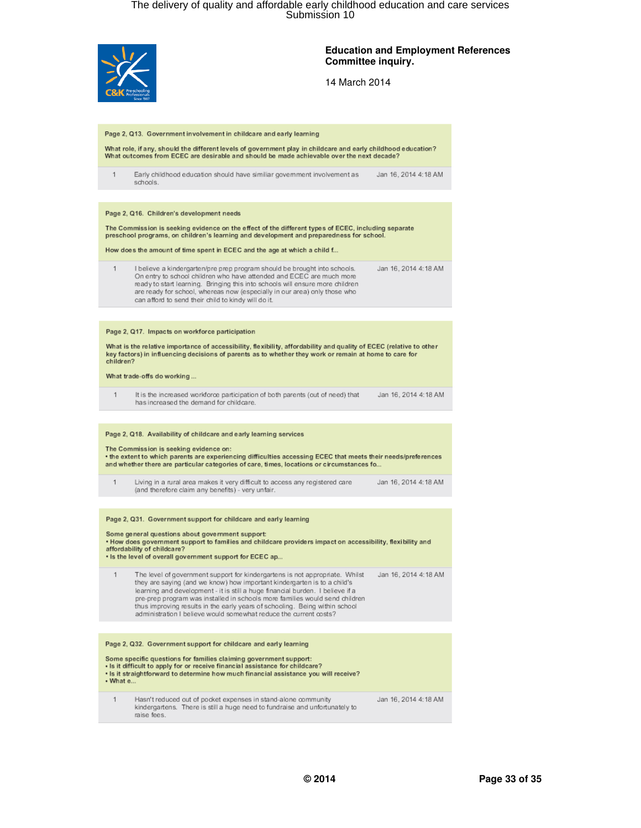

raise fees.

#### **Education and Employment References Committee inquiry.**

14 March 2014

#### Page 2, Q13. Government involvement in childcare and early learning What role, if any, should the different levels of government play in childcare and early childhood education? What outcomes from ECEC are desirable and should be made achievable over the next decade? Early childhood education should have similiar government involvement as  $\overline{1}$ Jan 16, 2014 4:18 AM schools. Page 2, Q16. Children's development needs The Commission is seeking evidence on the effect of the different types of ECEC, including separate preschool programs, on children's learning and development and preparedness for school. How does the amount of time spent in ECEC and the age at which a child f.. I believe a kindergarten/pre prep program should be brought into schools.  $\mathbf{1}$ Jan 16, 2014 4:18 AM On entry to school children who have attended and ECEC are much more ready to start learning. Bringing this into schools will ensure more children are ready for school, whereas now (especially in our area) only those who can afford to send their child to kindy will do it. Page 2, Q17. Impacts on workforce participation What is the relative importance of accessibility, flexibility, affordability and quality of ECEC (relative to other key factors) in influencing decisions of parents as to whether they work or remain at home to care for children? What trade-offs do working...  $\overline{1}$ It is the increased workforce participation of both parents (out of need) that Jan 16, 2014 4:18 AM has increased the demand for childcare. Page 2, Q18. Availability of childcare and early learning services The Commission is seeking evidence on: . the extent to which parents are experiencing difficulties accessing ECEC that meets their needs/preferences and whether there are particular categories of care, times, locations or circumstances fo... Living in a rural area makes it very difficult to access any registered care Jan 16, 2014 4:18 AM  $\mathbf{1}$ (and therefore claim any benefits) - very unfair. Page 2, Q31. Government support for childcare and early learning Some general questions about government support:<br>• How does government support to families and childcare providers impact on accessibility, flexibility and affordability of childcare? . Is the level of overall government support for ECEC ap... The level of government support for kindergartens is not appropriate. Whilst Jan 16, 2014 4:18 AM 1 they are saying (and we know) how important kindergarten is to a child's learning and development - it is still a huge financial burden. I believe if a pre-prep program was installed in schools more families would send children thus improving results in the early years of schooling. Being within school administration I believe would somewhat reduce the current costs? Page 2, Q32. Government support for childcare and early learning Some specific questions for families claiming government support:<br>• Is it difficult to apply for or receive financial assistance for childcare? . Is it straightforward to determine how much financial assistance you will receive? • What e. Hasn't reduced out of pocket expenses in stand-alone community Jan 16, 2014 4:18 AM  $\overline{1}$ kindergartens. There is still a huge need to fundraise and unfortunately to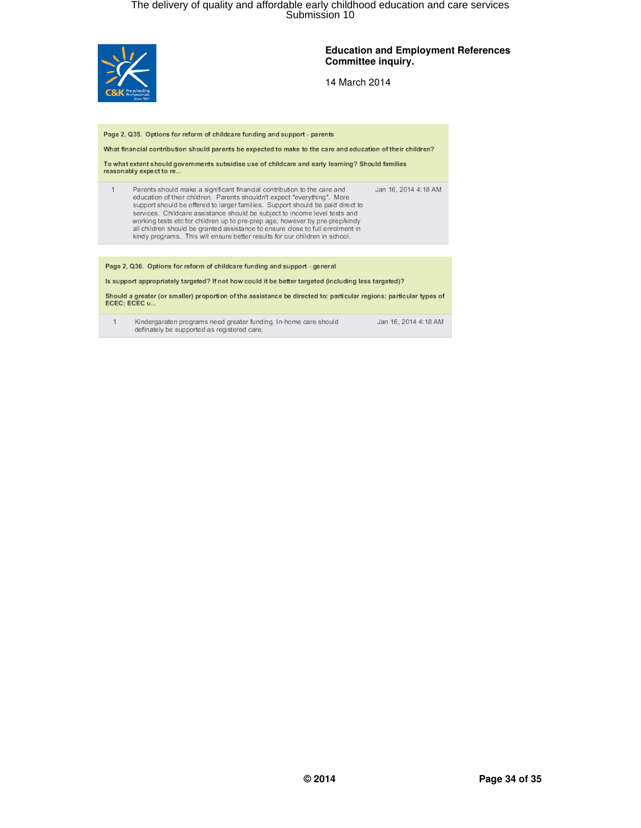

#### **Education and Employment References Committee inquiry.**

14 March 2014

Page 2, Q35. Options for reform of childcare funding and support - parents

What financial contribution should parents be expected to make to the care and education of their children?

To what extent should governments subsidise use of childcare and early learning? Should families reasonably expect to re.

Parents should make a significant financial contribution to the care and<br>education of their children. Parents shouldn't expect "everything". More<br>support should be offered to larger families. Support should be paid direct Jan 16, 2014 4:18 AM  $\mathbf{1}$ services. Childcare assistance should be subject to income level tests and working tests etc for children up to pre-prep age, however by pre-prep/kindy all children should be granted assistance to ensure dose to full enrolment in kindy programs. This will ensure better results for our children in school.

Page 2, Q36. Options for reform of childcare funding and support - general

Is support appropriately targeted? If not how could it be better targeted (including less targeted)?

Should a greater (or smaller) proportion of the assistance be directed to: particular regions; particular types of<br>ECEC; ECEC u...

Kindergaraten programs need greater funding. In-home care should<br>definately be supported as registered care.  $\mathbf{1}$ 

Jan 16, 2014 4:18 AM